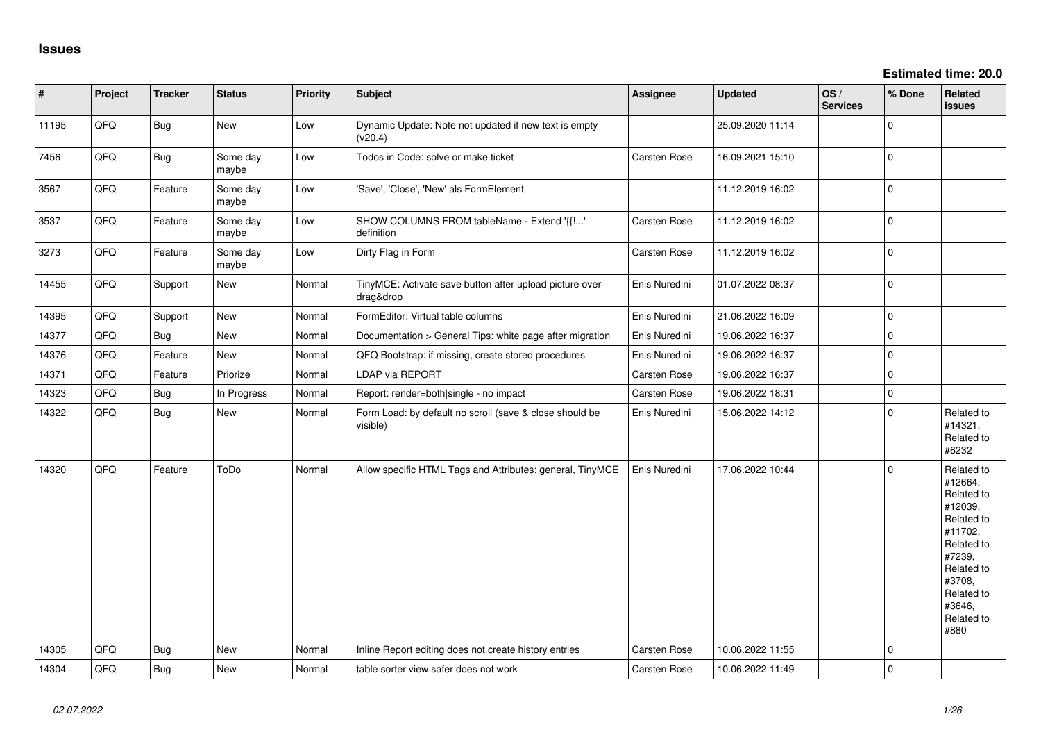| #     | Project | <b>Tracker</b> | <b>Status</b>     | <b>Priority</b> | <b>Subject</b>                                                       | <b>Assignee</b>     | <b>Updated</b>   | OS/<br><b>Services</b> | % Done      | Related<br><b>issues</b>                                                                                                                                              |
|-------|---------|----------------|-------------------|-----------------|----------------------------------------------------------------------|---------------------|------------------|------------------------|-------------|-----------------------------------------------------------------------------------------------------------------------------------------------------------------------|
| 11195 | QFQ     | <b>Bug</b>     | New               | Low             | Dynamic Update: Note not updated if new text is empty<br>(v20.4)     |                     | 25.09.2020 11:14 |                        | $\mathbf 0$ |                                                                                                                                                                       |
| 7456  | QFQ     | <b>Bug</b>     | Some day<br>maybe | Low             | Todos in Code: solve or make ticket                                  | Carsten Rose        | 16.09.2021 15:10 |                        | $\mathbf 0$ |                                                                                                                                                                       |
| 3567  | QFQ     | Feature        | Some day<br>maybe | Low             | 'Save', 'Close', 'New' als FormElement                               |                     | 11.12.2019 16:02 |                        | $\Omega$    |                                                                                                                                                                       |
| 3537  | QFQ     | Feature        | Some day<br>maybe | Low             | SHOW COLUMNS FROM tableName - Extend '{{!'<br>definition             | Carsten Rose        | 11.12.2019 16:02 |                        | $\mathbf 0$ |                                                                                                                                                                       |
| 3273  | QFQ     | Feature        | Some day<br>maybe | Low             | Dirty Flag in Form                                                   | Carsten Rose        | 11.12.2019 16:02 |                        | $\mathbf 0$ |                                                                                                                                                                       |
| 14455 | QFQ     | Support        | <b>New</b>        | Normal          | TinyMCE: Activate save button after upload picture over<br>drag&drop | Enis Nuredini       | 01.07.2022 08:37 |                        | $\Omega$    |                                                                                                                                                                       |
| 14395 | QFQ     | Support        | <b>New</b>        | Normal          | FormEditor: Virtual table columns                                    | Enis Nuredini       | 21.06.2022 16:09 |                        | $\mathbf 0$ |                                                                                                                                                                       |
| 14377 | QFQ     | <b>Bug</b>     | <b>New</b>        | Normal          | Documentation > General Tips: white page after migration             | Enis Nuredini       | 19.06.2022 16:37 |                        | $\mathbf 0$ |                                                                                                                                                                       |
| 14376 | QFQ     | Feature        | New               | Normal          | QFQ Bootstrap: if missing, create stored procedures                  | Enis Nuredini       | 19.06.2022 16:37 |                        | $\mathbf 0$ |                                                                                                                                                                       |
| 14371 | QFQ     | Feature        | Priorize          | Normal          | LDAP via REPORT                                                      | Carsten Rose        | 19.06.2022 16:37 |                        | $\mathbf 0$ |                                                                                                                                                                       |
| 14323 | QFQ     | Bug            | In Progress       | Normal          | Report: render=both single - no impact                               | Carsten Rose        | 19.06.2022 18:31 |                        | $\mathbf 0$ |                                                                                                                                                                       |
| 14322 | QFQ     | <b>Bug</b>     | New               | Normal          | Form Load: by default no scroll (save & close should be<br>visible)  | Enis Nuredini       | 15.06.2022 14:12 |                        | $\Omega$    | Related to<br>#14321,<br>Related to<br>#6232                                                                                                                          |
| 14320 | QFQ     | Feature        | ToDo              | Normal          | Allow specific HTML Tags and Attributes: general, TinyMCE            | Enis Nuredini       | 17.06.2022 10:44 |                        | $\Omega$    | Related to<br>#12664,<br>Related to<br>#12039,<br>Related to<br>#11702.<br>Related to<br>#7239,<br>Related to<br>#3708,<br>Related to<br>#3646,<br>Related to<br>#880 |
| 14305 | QFQ     | <b>Bug</b>     | <b>New</b>        | Normal          | Inline Report editing does not create history entries                | Carsten Rose        | 10.06.2022 11:55 |                        | $\mathbf 0$ |                                                                                                                                                                       |
| 14304 | QFQ     | <b>Bug</b>     | <b>New</b>        | Normal          | table sorter view safer does not work                                | <b>Carsten Rose</b> | 10.06.2022 11:49 |                        | $\Omega$    |                                                                                                                                                                       |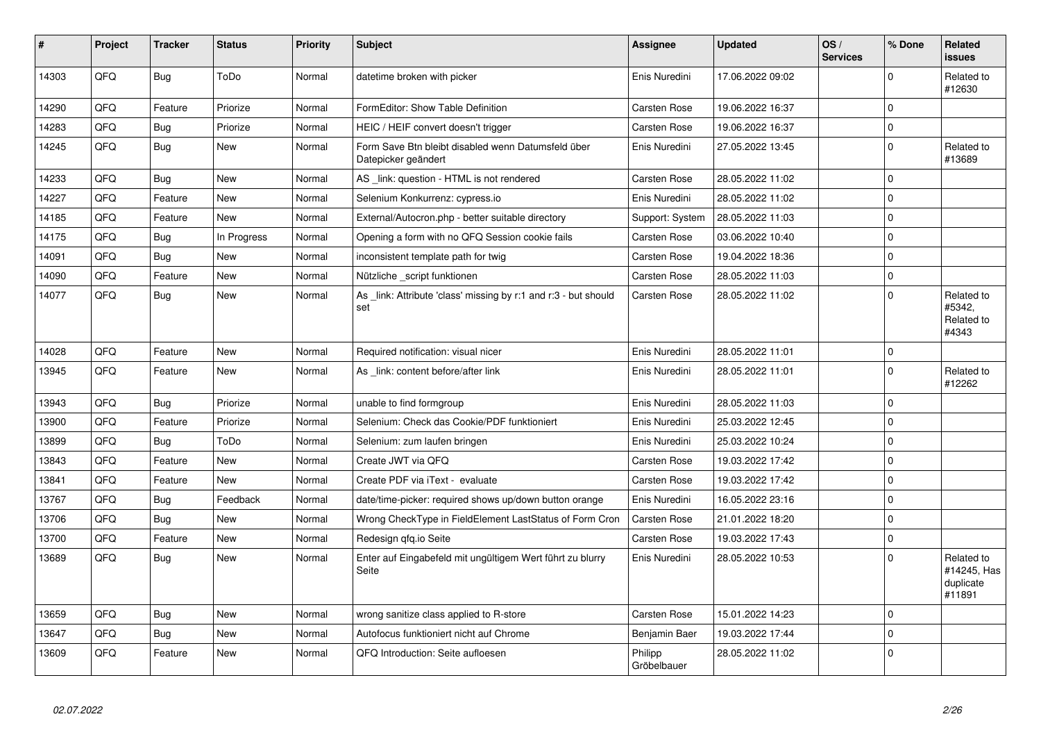| #     | Project | <b>Tracker</b> | <b>Status</b> | <b>Priority</b> | <b>Subject</b>                                                            | Assignee               | <b>Updated</b>   | OS/<br><b>Services</b> | % Done       | Related<br>issues                                |
|-------|---------|----------------|---------------|-----------------|---------------------------------------------------------------------------|------------------------|------------------|------------------------|--------------|--------------------------------------------------|
| 14303 | QFQ     | Bug            | ToDo          | Normal          | datetime broken with picker                                               | Enis Nuredini          | 17.06.2022 09:02 |                        | $\mathbf 0$  | Related to<br>#12630                             |
| 14290 | QFQ     | Feature        | Priorize      | Normal          | FormEditor: Show Table Definition                                         | Carsten Rose           | 19.06.2022 16:37 |                        | $\mathbf{0}$ |                                                  |
| 14283 | QFQ     | Bug            | Priorize      | Normal          | HEIC / HEIF convert doesn't trigger                                       | Carsten Rose           | 19.06.2022 16:37 |                        | $\Omega$     |                                                  |
| 14245 | QFQ     | Bug            | <b>New</b>    | Normal          | Form Save Btn bleibt disabled wenn Datumsfeld über<br>Datepicker geändert | Enis Nuredini          | 27.05.2022 13:45 |                        | 0            | Related to<br>#13689                             |
| 14233 | QFQ     | <b>Bug</b>     | <b>New</b>    | Normal          | AS link: question - HTML is not rendered                                  | <b>Carsten Rose</b>    | 28.05.2022 11:02 |                        | 0            |                                                  |
| 14227 | QFQ     | Feature        | <b>New</b>    | Normal          | Selenium Konkurrenz: cypress.io                                           | Enis Nuredini          | 28.05.2022 11:02 |                        | $\mathbf 0$  |                                                  |
| 14185 | QFQ     | Feature        | <b>New</b>    | Normal          | External/Autocron.php - better suitable directory                         | Support: System        | 28.05.2022 11:03 |                        | 0            |                                                  |
| 14175 | QFQ     | Bug            | In Progress   | Normal          | Opening a form with no QFQ Session cookie fails                           | Carsten Rose           | 03.06.2022 10:40 |                        | $\mathbf 0$  |                                                  |
| 14091 | QFQ     | Bug            | <b>New</b>    | Normal          | inconsistent template path for twig                                       | <b>Carsten Rose</b>    | 19.04.2022 18:36 |                        | 0            |                                                  |
| 14090 | QFQ     | Feature        | <b>New</b>    | Normal          | Nützliche script funktionen                                               | Carsten Rose           | 28.05.2022 11:03 |                        | 0            |                                                  |
| 14077 | QFQ     | <b>Bug</b>     | New           | Normal          | As _link: Attribute 'class' missing by r:1 and r:3 - but should<br>set    | <b>Carsten Rose</b>    | 28.05.2022 11:02 |                        | $\mathbf 0$  | Related to<br>#5342,<br>Related to<br>#4343      |
| 14028 | QFQ     | Feature        | <b>New</b>    | Normal          | Required notification: visual nicer                                       | Enis Nuredini          | 28.05.2022 11:01 |                        | $\mathbf 0$  |                                                  |
| 13945 | QFQ     | Feature        | New           | Normal          | As _link: content before/after link                                       | Enis Nuredini          | 28.05.2022 11:01 |                        | $\mathbf{0}$ | Related to<br>#12262                             |
| 13943 | QFQ     | Bug            | Priorize      | Normal          | unable to find formgroup                                                  | Enis Nuredini          | 28.05.2022 11:03 |                        | 0            |                                                  |
| 13900 | QFQ     | Feature        | Priorize      | Normal          | Selenium: Check das Cookie/PDF funktioniert                               | Enis Nuredini          | 25.03.2022 12:45 |                        | $\Omega$     |                                                  |
| 13899 | QFQ     | <b>Bug</b>     | ToDo          | Normal          | Selenium: zum laufen bringen                                              | Enis Nuredini          | 25.03.2022 10:24 |                        | $\mathbf 0$  |                                                  |
| 13843 | QFQ     | Feature        | <b>New</b>    | Normal          | Create JWT via QFQ                                                        | <b>Carsten Rose</b>    | 19.03.2022 17:42 |                        | $\Omega$     |                                                  |
| 13841 | QFQ     | Feature        | <b>New</b>    | Normal          | Create PDF via iText - evaluate                                           | Carsten Rose           | 19.03.2022 17:42 |                        | $\mathbf 0$  |                                                  |
| 13767 | QFQ     | Bug            | Feedback      | Normal          | date/time-picker: required shows up/down button orange                    | Enis Nuredini          | 16.05.2022 23:16 |                        | $\mathbf 0$  |                                                  |
| 13706 | QFQ     | Bug            | <b>New</b>    | Normal          | Wrong CheckType in FieldElement LastStatus of Form Cron                   | <b>Carsten Rose</b>    | 21.01.2022 18:20 |                        | $\Omega$     |                                                  |
| 13700 | QFQ     | Feature        | <b>New</b>    | Normal          | Redesign gfg.io Seite                                                     | Carsten Rose           | 19.03.2022 17:43 |                        | $\mathbf 0$  |                                                  |
| 13689 | QFQ     | Bug            | <b>New</b>    | Normal          | Enter auf Eingabefeld mit ungültigem Wert führt zu blurry<br>Seite        | Enis Nuredini          | 28.05.2022 10:53 |                        | $\Omega$     | Related to<br>#14245, Has<br>duplicate<br>#11891 |
| 13659 | QFQ     | <b>Bug</b>     | <b>New</b>    | Normal          | wrong sanitize class applied to R-store                                   | Carsten Rose           | 15.01.2022 14:23 |                        | $\Omega$     |                                                  |
| 13647 | QFQ     | Bug            | New           | Normal          | Autofocus funktioniert nicht auf Chrome                                   | Benjamin Baer          | 19.03.2022 17:44 |                        | $\mathbf 0$  |                                                  |
| 13609 | QFQ     | Feature        | <b>New</b>    | Normal          | QFQ Introduction: Seite aufloesen                                         | Philipp<br>Gröbelbauer | 28.05.2022 11:02 |                        | $\Omega$     |                                                  |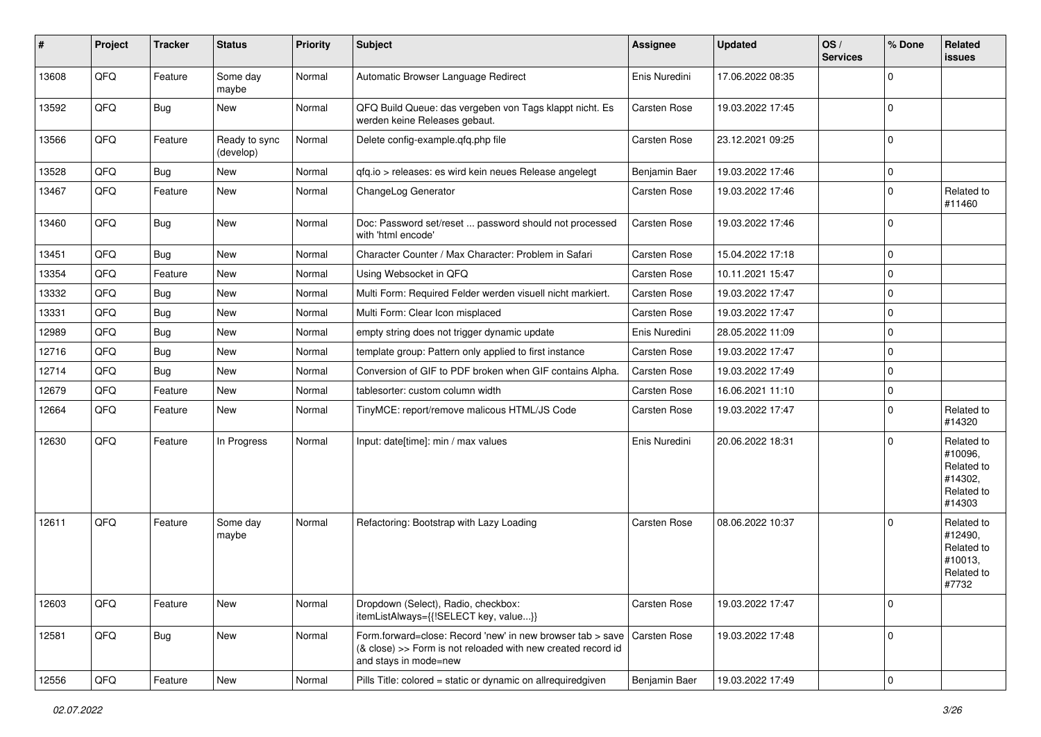| #     | Project | <b>Tracker</b> | <b>Status</b>              | <b>Priority</b> | <b>Subject</b>                                                                                                                                      | <b>Assignee</b>     | <b>Updated</b>   | OS/<br><b>Services</b> | % Done       | Related<br>issues                                                      |
|-------|---------|----------------|----------------------------|-----------------|-----------------------------------------------------------------------------------------------------------------------------------------------------|---------------------|------------------|------------------------|--------------|------------------------------------------------------------------------|
| 13608 | QFQ     | Feature        | Some day<br>maybe          | Normal          | Automatic Browser Language Redirect                                                                                                                 | Enis Nuredini       | 17.06.2022 08:35 |                        | 0            |                                                                        |
| 13592 | QFQ     | <b>Bug</b>     | New                        | Normal          | QFQ Build Queue: das vergeben von Tags klappt nicht. Es<br>werden keine Releases gebaut.                                                            | <b>Carsten Rose</b> | 19.03.2022 17:45 |                        | 0            |                                                                        |
| 13566 | QFQ     | Feature        | Ready to sync<br>(develop) | Normal          | Delete config-example.qfq.php file                                                                                                                  | <b>Carsten Rose</b> | 23.12.2021 09:25 |                        | 0            |                                                                        |
| 13528 | QFQ     | <b>Bug</b>     | New                        | Normal          | gfg.io > releases: es wird kein neues Release angelegt                                                                                              | Benjamin Baer       | 19.03.2022 17:46 |                        | $\mathbf 0$  |                                                                        |
| 13467 | QFQ     | Feature        | <b>New</b>                 | Normal          | ChangeLog Generator                                                                                                                                 | Carsten Rose        | 19.03.2022 17:46 |                        | 0            | Related to<br>#11460                                                   |
| 13460 | QFQ     | Bug            | <b>New</b>                 | Normal          | Doc: Password set/reset  password should not processed<br>with 'html encode'                                                                        | Carsten Rose        | 19.03.2022 17:46 |                        | $\mathbf 0$  |                                                                        |
| 13451 | QFQ     | Bug            | New                        | Normal          | Character Counter / Max Character: Problem in Safari                                                                                                | <b>Carsten Rose</b> | 15.04.2022 17:18 |                        | $\mathbf 0$  |                                                                        |
| 13354 | QFQ     | Feature        | New                        | Normal          | Using Websocket in QFQ                                                                                                                              | <b>Carsten Rose</b> | 10.11.2021 15:47 |                        | 0            |                                                                        |
| 13332 | QFQ     | <b>Bug</b>     | <b>New</b>                 | Normal          | Multi Form: Required Felder werden visuell nicht markiert.                                                                                          | Carsten Rose        | 19.03.2022 17:47 |                        | $\Omega$     |                                                                        |
| 13331 | QFQ     | Bug            | <b>New</b>                 | Normal          | Multi Form: Clear Icon misplaced                                                                                                                    | Carsten Rose        | 19.03.2022 17:47 |                        | $\mathbf 0$  |                                                                        |
| 12989 | QFQ     | Bug            | New                        | Normal          | empty string does not trigger dynamic update                                                                                                        | Enis Nuredini       | 28.05.2022 11:09 |                        | 0            |                                                                        |
| 12716 | QFQ     | Bug            | <b>New</b>                 | Normal          | template group: Pattern only applied to first instance                                                                                              | <b>Carsten Rose</b> | 19.03.2022 17:47 |                        | $\Omega$     |                                                                        |
| 12714 | QFQ     | Bug            | New                        | Normal          | Conversion of GIF to PDF broken when GIF contains Alpha.                                                                                            | <b>Carsten Rose</b> | 19.03.2022 17:49 |                        | $\Omega$     |                                                                        |
| 12679 | QFQ     | Feature        | New                        | Normal          | tablesorter: custom column width                                                                                                                    | Carsten Rose        | 16.06.2021 11:10 |                        | $\mathbf 0$  |                                                                        |
| 12664 | QFQ     | Feature        | New                        | Normal          | TinyMCE: report/remove malicous HTML/JS Code                                                                                                        | <b>Carsten Rose</b> | 19.03.2022 17:47 |                        | 0            | Related to<br>#14320                                                   |
| 12630 | QFQ     | Feature        | In Progress                | Normal          | Input: date[time]: min / max values                                                                                                                 | Enis Nuredini       | 20.06.2022 18:31 |                        | $\Omega$     | Related to<br>#10096,<br>Related to<br>#14302,<br>Related to<br>#14303 |
| 12611 | QFQ     | Feature        | Some day<br>maybe          | Normal          | Refactoring: Bootstrap with Lazy Loading                                                                                                            | <b>Carsten Rose</b> | 08.06.2022 10:37 |                        | 0            | Related to<br>#12490,<br>Related to<br>#10013,<br>Related to<br>#7732  |
| 12603 | QFQ     | Feature        | New                        | Normal          | Dropdown (Select), Radio, checkbox:<br>itemListAlways={{!SELECT key, value}}                                                                        | <b>Carsten Rose</b> | 19.03.2022 17:47 |                        | $\mathbf 0$  |                                                                        |
| 12581 | QFQ     | Bug            | New                        | Normal          | Form.forward=close: Record 'new' in new browser tab > save<br>(& close) >> Form is not reloaded with new created record id<br>and stays in mode=new | <b>Carsten Rose</b> | 19.03.2022 17:48 |                        | $\mathbf 0$  |                                                                        |
| 12556 | QFQ     | Feature        | New                        | Normal          | Pills Title: colored = static or dynamic on allrequiredgiven                                                                                        | Benjamin Baer       | 19.03.2022 17:49 |                        | $\mathbf{0}$ |                                                                        |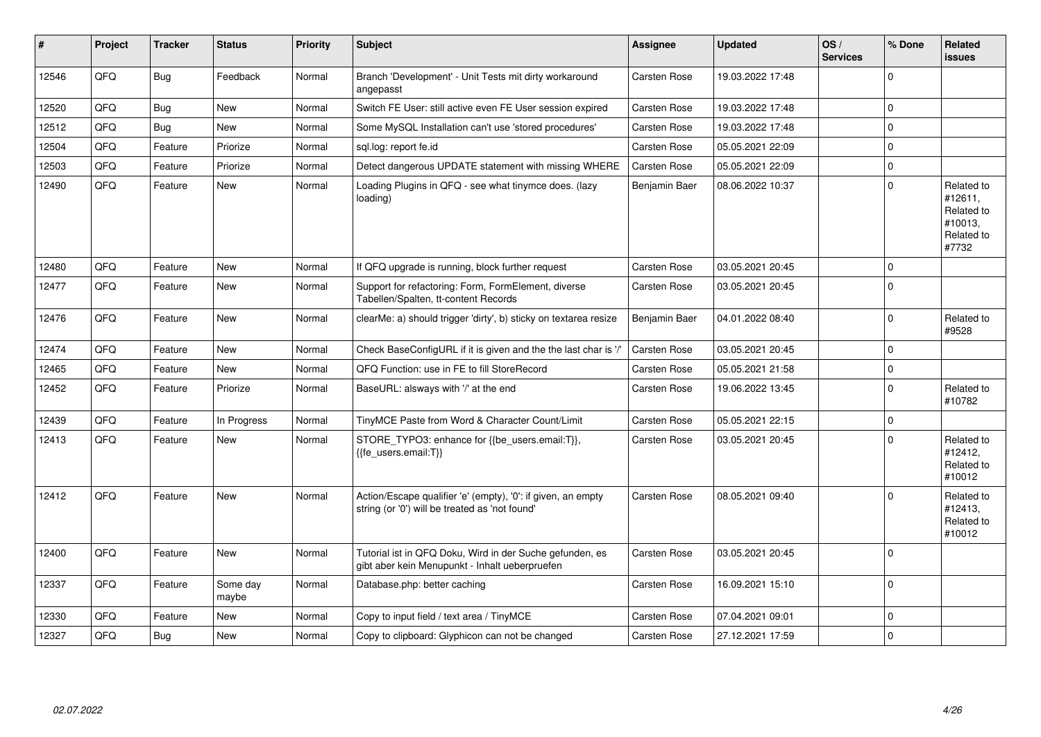| $\vert$ # | Project | <b>Tracker</b> | <b>Status</b>     | <b>Priority</b> | <b>Subject</b>                                                                                                 | <b>Assignee</b>     | <b>Updated</b>   | OS/<br><b>Services</b> | % Done      | Related<br><b>issues</b>                                              |
|-----------|---------|----------------|-------------------|-----------------|----------------------------------------------------------------------------------------------------------------|---------------------|------------------|------------------------|-------------|-----------------------------------------------------------------------|
| 12546     | QFQ     | Bug            | Feedback          | Normal          | Branch 'Development' - Unit Tests mit dirty workaround<br>angepasst                                            | <b>Carsten Rose</b> | 19.03.2022 17:48 |                        | U           |                                                                       |
| 12520     | QFQ     | Bug            | <b>New</b>        | Normal          | Switch FE User: still active even FE User session expired                                                      | Carsten Rose        | 19.03.2022 17:48 |                        | $\Omega$    |                                                                       |
| 12512     | QFQ     | Bug            | <b>New</b>        | Normal          | Some MySQL Installation can't use 'stored procedures'                                                          | Carsten Rose        | 19.03.2022 17:48 |                        | $\Omega$    |                                                                       |
| 12504     | QFQ     | Feature        | Priorize          | Normal          | sql.log: report fe.id                                                                                          | <b>Carsten Rose</b> | 05.05.2021 22:09 |                        | $\Omega$    |                                                                       |
| 12503     | QFQ     | Feature        | Priorize          | Normal          | Detect dangerous UPDATE statement with missing WHERE                                                           | <b>Carsten Rose</b> | 05.05.2021 22:09 |                        | $\Omega$    |                                                                       |
| 12490     | QFQ     | Feature        | <b>New</b>        | Normal          | Loading Plugins in QFQ - see what tinymce does. (lazy<br>loading)                                              | Benjamin Baer       | 08.06.2022 10:37 |                        | $\Omega$    | Related to<br>#12611,<br>Related to<br>#10013,<br>Related to<br>#7732 |
| 12480     | QFQ     | Feature        | <b>New</b>        | Normal          | If QFQ upgrade is running, block further request                                                               | <b>Carsten Rose</b> | 03.05.2021 20:45 |                        | $\mathbf 0$ |                                                                       |
| 12477     | QFQ     | Feature        | <b>New</b>        | Normal          | Support for refactoring: Form, FormElement, diverse<br>Tabellen/Spalten, tt-content Records                    | <b>Carsten Rose</b> | 03.05.2021 20:45 |                        | $\Omega$    |                                                                       |
| 12476     | QFQ     | Feature        | <b>New</b>        | Normal          | clearMe: a) should trigger 'dirty', b) sticky on textarea resize                                               | Benjamin Baer       | 04.01.2022 08:40 |                        | $\Omega$    | Related to<br>#9528                                                   |
| 12474     | QFQ     | Feature        | <b>New</b>        | Normal          | Check BaseConfigURL if it is given and the the last char is '/'                                                | <b>Carsten Rose</b> | 03.05.2021 20:45 |                        | $\Omega$    |                                                                       |
| 12465     | QFQ     | Feature        | <b>New</b>        | Normal          | QFQ Function: use in FE to fill StoreRecord                                                                    | Carsten Rose        | 05.05.2021 21:58 |                        | $\Omega$    |                                                                       |
| 12452     | QFQ     | Feature        | Priorize          | Normal          | BaseURL: alsways with '/' at the end                                                                           | Carsten Rose        | 19.06.2022 13:45 |                        | $\Omega$    | Related to<br>#10782                                                  |
| 12439     | QFQ     | Feature        | In Progress       | Normal          | TinyMCE Paste from Word & Character Count/Limit                                                                | Carsten Rose        | 05.05.2021 22:15 |                        | $\mathbf 0$ |                                                                       |
| 12413     | QFQ     | Feature        | <b>New</b>        | Normal          | STORE_TYPO3: enhance for {{be_users.email:T}},<br>{{fe users.email:T}}                                         | Carsten Rose        | 03.05.2021 20:45 |                        | $\Omega$    | Related to<br>#12412,<br>Related to<br>#10012                         |
| 12412     | QFQ     | Feature        | <b>New</b>        | Normal          | Action/Escape qualifier 'e' (empty), '0': if given, an empty<br>string (or '0') will be treated as 'not found' | <b>Carsten Rose</b> | 08.05.2021 09:40 |                        | $\Omega$    | Related to<br>#12413,<br>Related to<br>#10012                         |
| 12400     | QFQ     | Feature        | <b>New</b>        | Normal          | Tutorial ist in QFQ Doku, Wird in der Suche gefunden, es<br>gibt aber kein Menupunkt - Inhalt ueberpruefen     | Carsten Rose        | 03.05.2021 20:45 |                        | $\Omega$    |                                                                       |
| 12337     | QFQ     | Feature        | Some day<br>maybe | Normal          | Database.php: better caching                                                                                   | Carsten Rose        | 16.09.2021 15:10 |                        | $\Omega$    |                                                                       |
| 12330     | QFQ     | Feature        | <b>New</b>        | Normal          | Copy to input field / text area / TinyMCE                                                                      | Carsten Rose        | 07.04.2021 09:01 |                        | $\Omega$    |                                                                       |
| 12327     | QFQ     | Bug            | <b>New</b>        | Normal          | Copy to clipboard: Glyphicon can not be changed                                                                | <b>Carsten Rose</b> | 27.12.2021 17:59 |                        | $\Omega$    |                                                                       |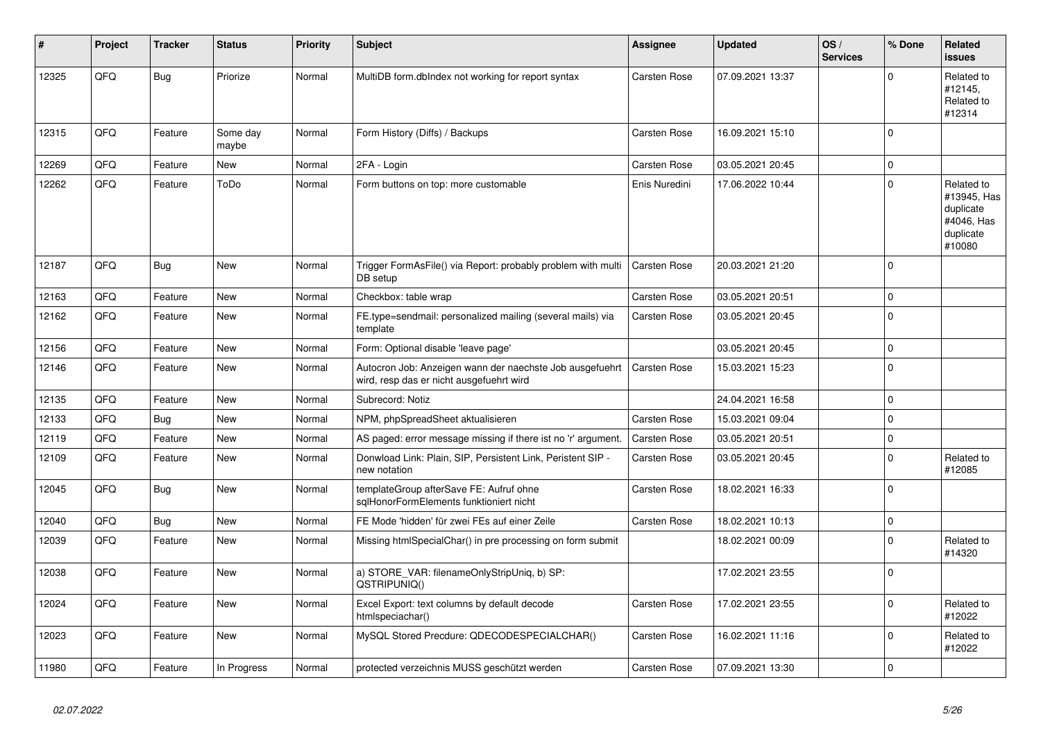| #     | Project | <b>Tracker</b> | <b>Status</b>     | <b>Priority</b> | <b>Subject</b>                                                                                       | Assignee            | <b>Updated</b>   | OS/<br><b>Services</b> | % Done      | Related<br><b>issues</b>                                                    |
|-------|---------|----------------|-------------------|-----------------|------------------------------------------------------------------------------------------------------|---------------------|------------------|------------------------|-------------|-----------------------------------------------------------------------------|
| 12325 | QFQ     | Bug            | Priorize          | Normal          | MultiDB form.dblndex not working for report syntax                                                   | <b>Carsten Rose</b> | 07.09.2021 13:37 |                        | $\Omega$    | Related to<br>#12145,<br>Related to<br>#12314                               |
| 12315 | QFQ     | Feature        | Some day<br>maybe | Normal          | Form History (Diffs) / Backups                                                                       | <b>Carsten Rose</b> | 16.09.2021 15:10 |                        | $\Omega$    |                                                                             |
| 12269 | QFQ     | Feature        | <b>New</b>        | Normal          | 2FA - Login                                                                                          | <b>Carsten Rose</b> | 03.05.2021 20:45 |                        | $\mathbf 0$ |                                                                             |
| 12262 | QFQ     | Feature        | ToDo              | Normal          | Form buttons on top: more customable                                                                 | Enis Nuredini       | 17.06.2022 10:44 |                        | $\Omega$    | Related to<br>#13945, Has<br>duplicate<br>#4046, Has<br>duplicate<br>#10080 |
| 12187 | QFQ     | Bug            | <b>New</b>        | Normal          | Trigger FormAsFile() via Report: probably problem with multi<br>DB setup                             | Carsten Rose        | 20.03.2021 21:20 |                        | $\mathbf 0$ |                                                                             |
| 12163 | QFQ     | Feature        | New               | Normal          | Checkbox: table wrap                                                                                 | <b>Carsten Rose</b> | 03.05.2021 20:51 |                        | $\mathbf 0$ |                                                                             |
| 12162 | QFQ     | Feature        | <b>New</b>        | Normal          | FE.type=sendmail: personalized mailing (several mails) via<br>template                               | <b>Carsten Rose</b> | 03.05.2021 20:45 |                        | $\mathbf 0$ |                                                                             |
| 12156 | QFQ     | Feature        | <b>New</b>        | Normal          | Form: Optional disable 'leave page'                                                                  |                     | 03.05.2021 20:45 |                        | $\mathbf 0$ |                                                                             |
| 12146 | QFQ     | Feature        | <b>New</b>        | Normal          | Autocron Job: Anzeigen wann der naechste Job ausgefuehrt<br>wird, resp das er nicht ausgefuehrt wird | Carsten Rose        | 15.03.2021 15:23 |                        | $\mathbf 0$ |                                                                             |
| 12135 | QFQ     | Feature        | <b>New</b>        | Normal          | Subrecord: Notiz                                                                                     |                     | 24.04.2021 16:58 |                        | 0           |                                                                             |
| 12133 | QFQ     | <b>Bug</b>     | <b>New</b>        | Normal          | NPM, phpSpreadSheet aktualisieren                                                                    | <b>Carsten Rose</b> | 15.03.2021 09:04 |                        | $\mathbf 0$ |                                                                             |
| 12119 | QFQ     | Feature        | <b>New</b>        | Normal          | AS paged: error message missing if there ist no 'r' argument.                                        | <b>Carsten Rose</b> | 03.05.2021 20:51 |                        | 0           |                                                                             |
| 12109 | QFQ     | Feature        | <b>New</b>        | Normal          | Donwload Link: Plain, SIP, Persistent Link, Peristent SIP -<br>new notation                          | <b>Carsten Rose</b> | 03.05.2021 20:45 |                        | $\mathbf 0$ | Related to<br>#12085                                                        |
| 12045 | QFQ     | Bug            | <b>New</b>        | Normal          | templateGroup afterSave FE: Aufruf ohne<br>sglHonorFormElements funktioniert nicht                   | <b>Carsten Rose</b> | 18.02.2021 16:33 |                        | $\Omega$    |                                                                             |
| 12040 | QFQ     | Bug            | <b>New</b>        | Normal          | FE Mode 'hidden' für zwei FEs auf einer Zeile                                                        | <b>Carsten Rose</b> | 18.02.2021 10:13 |                        | 0           |                                                                             |
| 12039 | QFQ     | Feature        | <b>New</b>        | Normal          | Missing htmlSpecialChar() in pre processing on form submit                                           |                     | 18.02.2021 00:09 |                        | $\Omega$    | Related to<br>#14320                                                        |
| 12038 | QFQ     | Feature        | New               | Normal          | a) STORE_VAR: filenameOnlyStripUniq, b) SP:<br>QSTRIPUNIQ()                                          |                     | 17.02.2021 23:55 |                        | $\mathbf 0$ |                                                                             |
| 12024 | QFQ     | Feature        | <b>New</b>        | Normal          | Excel Export: text columns by default decode<br>htmlspeciachar()                                     | <b>Carsten Rose</b> | 17.02.2021 23:55 |                        | $\Omega$    | Related to<br>#12022                                                        |
| 12023 | QFQ     | Feature        | <b>New</b>        | Normal          | MySQL Stored Precdure: QDECODESPECIALCHAR()                                                          | <b>Carsten Rose</b> | 16.02.2021 11:16 |                        | $\mathbf 0$ | Related to<br>#12022                                                        |
| 11980 | QFQ     | Feature        | In Progress       | Normal          | protected verzeichnis MUSS geschützt werden                                                          | <b>Carsten Rose</b> | 07.09.2021 13:30 |                        | $\mathbf 0$ |                                                                             |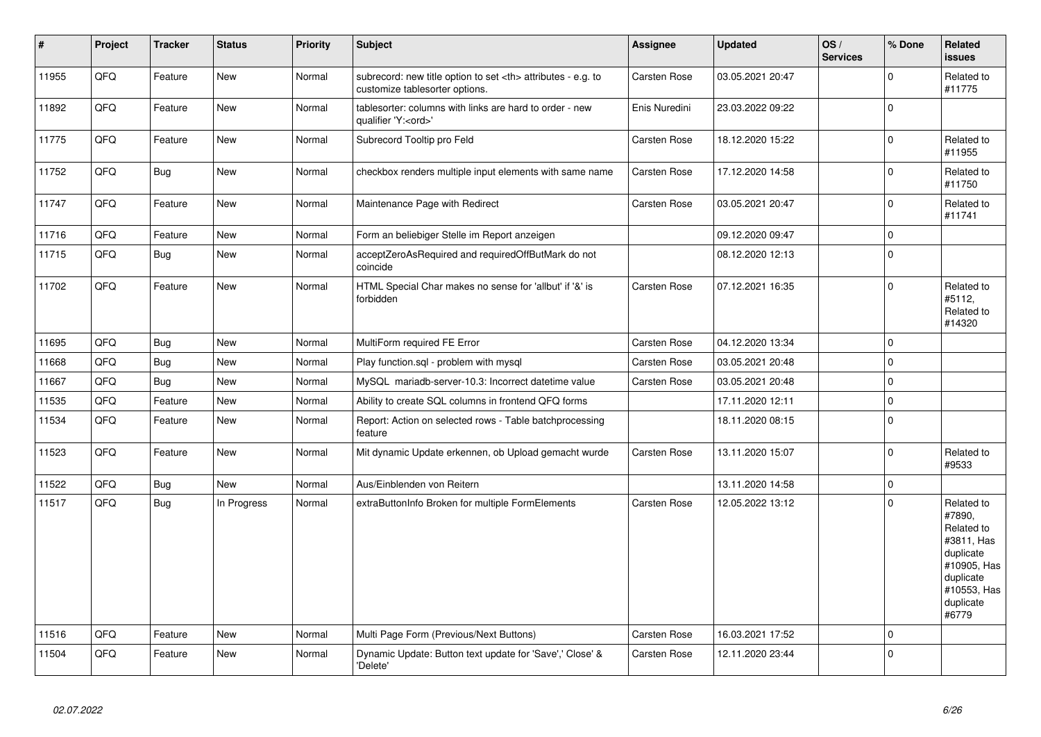| $\vert$ # | Project | <b>Tracker</b> | <b>Status</b> | <b>Priority</b> | <b>Subject</b>                                                                                       | Assignee                                               | <b>Updated</b>   | OS/<br><b>Services</b> | % Done      | Related<br><b>issues</b>                                                                                                       |                      |
|-----------|---------|----------------|---------------|-----------------|------------------------------------------------------------------------------------------------------|--------------------------------------------------------|------------------|------------------------|-------------|--------------------------------------------------------------------------------------------------------------------------------|----------------------|
| 11955     | QFQ     | Feature        | <b>New</b>    | Normal          | subrecord: new title option to set <th> attributes - e.g. to<br/>customize tablesorter options.</th> | attributes - e.g. to<br>customize tablesorter options. | Carsten Rose     | 03.05.2021 20:47       |             | $\Omega$                                                                                                                       | Related to<br>#11775 |
| 11892     | QFQ     | Feature        | <b>New</b>    | Normal          | tablesorter: columns with links are hard to order - new<br>qualifier 'Y: <ord>'</ord>                | Enis Nuredini                                          | 23.03.2022 09:22 |                        | $\Omega$    |                                                                                                                                |                      |
| 11775     | QFQ     | Feature        | <b>New</b>    | Normal          | Subrecord Tooltip pro Feld                                                                           | <b>Carsten Rose</b>                                    | 18.12.2020 15:22 |                        | $\Omega$    | Related to<br>#11955                                                                                                           |                      |
| 11752     | QFQ     | Bug            | <b>New</b>    | Normal          | checkbox renders multiple input elements with same name                                              | Carsten Rose                                           | 17.12.2020 14:58 |                        | O           | Related to<br>#11750                                                                                                           |                      |
| 11747     | QFQ     | Feature        | <b>New</b>    | Normal          | Maintenance Page with Redirect                                                                       | Carsten Rose                                           | 03.05.2021 20:47 |                        | $\Omega$    | Related to<br>#11741                                                                                                           |                      |
| 11716     | QFQ     | Feature        | <b>New</b>    | Normal          | Form an beliebiger Stelle im Report anzeigen                                                         |                                                        | 09.12.2020 09:47 |                        | $\Omega$    |                                                                                                                                |                      |
| 11715     | QFQ     | Bug            | <b>New</b>    | Normal          | acceptZeroAsRequired and requiredOffButMark do not<br>coincide                                       |                                                        | 08.12.2020 12:13 |                        | $\mathbf 0$ |                                                                                                                                |                      |
| 11702     | QFQ     | Feature        | <b>New</b>    | Normal          | HTML Special Char makes no sense for 'allbut' if '&' is<br>forbidden                                 | Carsten Rose                                           | 07.12.2021 16:35 |                        | $\Omega$    | Related to<br>#5112,<br>Related to<br>#14320                                                                                   |                      |
| 11695     | QFQ     | <b>Bug</b>     | <b>New</b>    | Normal          | MultiForm required FE Error                                                                          | Carsten Rose                                           | 04.12.2020 13:34 |                        | $\Omega$    |                                                                                                                                |                      |
| 11668     | QFQ     | Bug            | New           | Normal          | Play function.sql - problem with mysql                                                               | Carsten Rose                                           | 03.05.2021 20:48 |                        | $\mathbf 0$ |                                                                                                                                |                      |
| 11667     | QFQ     | Bug            | <b>New</b>    | Normal          | MySQL mariadb-server-10.3: Incorrect datetime value                                                  | Carsten Rose                                           | 03.05.2021 20:48 |                        | $\Omega$    |                                                                                                                                |                      |
| 11535     | QFQ     | Feature        | <b>New</b>    | Normal          | Ability to create SQL columns in frontend QFQ forms                                                  |                                                        | 17.11.2020 12:11 |                        | $\mathbf 0$ |                                                                                                                                |                      |
| 11534     | QFQ     | Feature        | <b>New</b>    | Normal          | Report: Action on selected rows - Table batchprocessing<br>feature                                   |                                                        | 18.11.2020 08:15 |                        | $\Omega$    |                                                                                                                                |                      |
| 11523     | QFQ     | Feature        | <b>New</b>    | Normal          | Mit dynamic Update erkennen, ob Upload gemacht wurde                                                 | Carsten Rose                                           | 13.11.2020 15:07 |                        | $\Omega$    | Related to<br>#9533                                                                                                            |                      |
| 11522     | QFQ     | Bug            | <b>New</b>    | Normal          | Aus/Einblenden von Reitern                                                                           |                                                        | 13.11.2020 14:58 |                        | $\mathbf 0$ |                                                                                                                                |                      |
| 11517     | QFQ     | <b>Bug</b>     | In Progress   | Normal          | extraButtonInfo Broken for multiple FormElements                                                     | Carsten Rose                                           | 12.05.2022 13:12 |                        | $\Omega$    | Related to<br>#7890,<br>Related to<br>#3811, Has<br>duplicate<br>#10905, Has<br>duplicate<br>#10553, Has<br>duplicate<br>#6779 |                      |
| 11516     | QFQ     | Feature        | <b>New</b>    | Normal          | Multi Page Form (Previous/Next Buttons)                                                              | Carsten Rose                                           | 16.03.2021 17:52 |                        | 0           |                                                                                                                                |                      |
| 11504     | QFQ     | Feature        | <b>New</b>    | Normal          | Dynamic Update: Button text update for 'Save',' Close' &<br>'Delete'                                 | Carsten Rose                                           | 12.11.2020 23:44 |                        | $\Omega$    |                                                                                                                                |                      |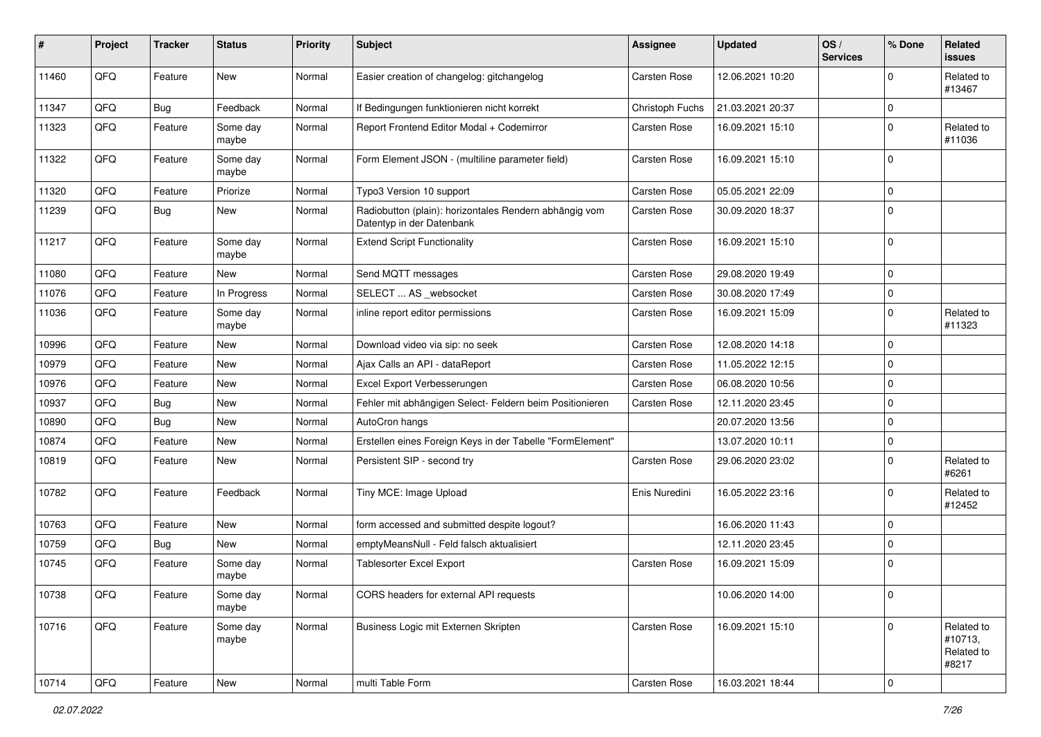| #     | Project | <b>Tracker</b> | <b>Status</b>     | <b>Priority</b> | <b>Subject</b>                                                                      | <b>Assignee</b>     | <b>Updated</b>   | OS/<br><b>Services</b> | % Done      | Related<br>issues                            |
|-------|---------|----------------|-------------------|-----------------|-------------------------------------------------------------------------------------|---------------------|------------------|------------------------|-------------|----------------------------------------------|
| 11460 | QFQ     | Feature        | <b>New</b>        | Normal          | Easier creation of changelog: gitchangelog                                          | <b>Carsten Rose</b> | 12.06.2021 10:20 |                        | $\Omega$    | Related to<br>#13467                         |
| 11347 | QFQ     | Bug            | Feedback          | Normal          | If Bedingungen funktionieren nicht korrekt                                          | Christoph Fuchs     | 21.03.2021 20:37 |                        | $\mathbf 0$ |                                              |
| 11323 | QFQ     | Feature        | Some day<br>maybe | Normal          | Report Frontend Editor Modal + Codemirror                                           | Carsten Rose        | 16.09.2021 15:10 |                        | $\Omega$    | Related to<br>#11036                         |
| 11322 | QFQ     | Feature        | Some day<br>maybe | Normal          | Form Element JSON - (multiline parameter field)                                     | <b>Carsten Rose</b> | 16.09.2021 15:10 |                        | $\Omega$    |                                              |
| 11320 | QFQ     | Feature        | Priorize          | Normal          | Typo3 Version 10 support                                                            | <b>Carsten Rose</b> | 05.05.2021 22:09 |                        | $\mathbf 0$ |                                              |
| 11239 | QFQ     | Bug            | <b>New</b>        | Normal          | Radiobutton (plain): horizontales Rendern abhängig vom<br>Datentyp in der Datenbank | Carsten Rose        | 30.09.2020 18:37 |                        | $\mathbf 0$ |                                              |
| 11217 | QFQ     | Feature        | Some day<br>maybe | Normal          | <b>Extend Script Functionality</b>                                                  | <b>Carsten Rose</b> | 16.09.2021 15:10 |                        | 0           |                                              |
| 11080 | QFQ     | Feature        | New               | Normal          | Send MQTT messages                                                                  | <b>Carsten Rose</b> | 29.08.2020 19:49 |                        | $\mathbf 0$ |                                              |
| 11076 | QFQ     | Feature        | In Progress       | Normal          | SELECT  AS _websocket                                                               | <b>Carsten Rose</b> | 30.08.2020 17:49 |                        | 0           |                                              |
| 11036 | QFQ     | Feature        | Some day<br>maybe | Normal          | inline report editor permissions                                                    | <b>Carsten Rose</b> | 16.09.2021 15:09 |                        | $\mathbf 0$ | Related to<br>#11323                         |
| 10996 | QFQ     | Feature        | <b>New</b>        | Normal          | Download video via sip: no seek                                                     | <b>Carsten Rose</b> | 12.08.2020 14:18 |                        | $\mathbf 0$ |                                              |
| 10979 | QFQ     | Feature        | New               | Normal          | Ajax Calls an API - dataReport                                                      | <b>Carsten Rose</b> | 11.05.2022 12:15 |                        | $\mathbf 0$ |                                              |
| 10976 | QFQ     | Feature        | <b>New</b>        | Normal          | Excel Export Verbesserungen                                                         | <b>Carsten Rose</b> | 06.08.2020 10:56 |                        | 0           |                                              |
| 10937 | QFQ     | Bug            | New               | Normal          | Fehler mit abhängigen Select- Feldern beim Positionieren                            | Carsten Rose        | 12.11.2020 23:45 |                        | 0           |                                              |
| 10890 | QFQ     | Bug            | <b>New</b>        | Normal          | AutoCron hangs                                                                      |                     | 20.07.2020 13:56 |                        | $\mathbf 0$ |                                              |
| 10874 | QFQ     | Feature        | <b>New</b>        | Normal          | Erstellen eines Foreign Keys in der Tabelle "FormElement"                           |                     | 13.07.2020 10:11 |                        | $\mathbf 0$ |                                              |
| 10819 | QFQ     | Feature        | New               | Normal          | Persistent SIP - second try                                                         | <b>Carsten Rose</b> | 29.06.2020 23:02 |                        | $\mathbf 0$ | Related to<br>#6261                          |
| 10782 | QFQ     | Feature        | Feedback          | Normal          | Tiny MCE: Image Upload                                                              | Enis Nuredini       | 16.05.2022 23:16 |                        | $\mathbf 0$ | Related to<br>#12452                         |
| 10763 | QFQ     | Feature        | <b>New</b>        | Normal          | form accessed and submitted despite logout?                                         |                     | 16.06.2020 11:43 |                        | $\mathbf 0$ |                                              |
| 10759 | QFQ     | Bug            | <b>New</b>        | Normal          | emptyMeansNull - Feld falsch aktualisiert                                           |                     | 12.11.2020 23:45 |                        | 0           |                                              |
| 10745 | QFQ     | Feature        | Some day<br>maybe | Normal          | <b>Tablesorter Excel Export</b>                                                     | Carsten Rose        | 16.09.2021 15:09 |                        | $\mathbf 0$ |                                              |
| 10738 | QFQ     | Feature        | Some day<br>maybe | Normal          | CORS headers for external API requests                                              |                     | 10.06.2020 14:00 |                        | l 0         |                                              |
| 10716 | QFQ     | Feature        | Some day<br>maybe | Normal          | Business Logic mit Externen Skripten                                                | Carsten Rose        | 16.09.2021 15:10 |                        | $\mathbf 0$ | Related to<br>#10713,<br>Related to<br>#8217 |
| 10714 | QFG     | Feature        | New               | Normal          | multi Table Form                                                                    | Carsten Rose        | 16.03.2021 18:44 |                        | 0           |                                              |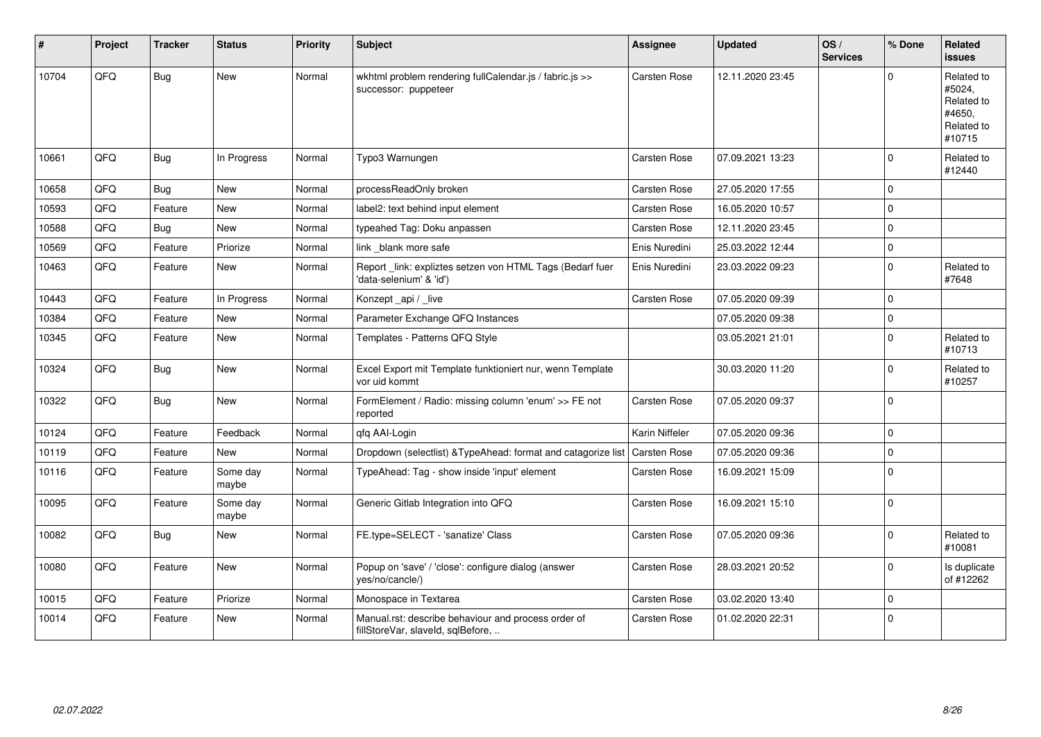| #     | Project | <b>Tracker</b> | <b>Status</b>     | <b>Priority</b> | <b>Subject</b>                                                                           | <b>Assignee</b>     | <b>Updated</b>   | OS/<br><b>Services</b> | % Done      | Related<br><b>issues</b>                                             |
|-------|---------|----------------|-------------------|-----------------|------------------------------------------------------------------------------------------|---------------------|------------------|------------------------|-------------|----------------------------------------------------------------------|
| 10704 | QFQ     | Bug            | <b>New</b>        | Normal          | wkhtml problem rendering fullCalendar.js / fabric.js >><br>successor: puppeteer          | Carsten Rose        | 12.11.2020 23:45 |                        | U           | Related to<br>#5024,<br>Related to<br>#4650,<br>Related to<br>#10715 |
| 10661 | QFQ     | Bug            | In Progress       | Normal          | Typo3 Warnungen                                                                          | Carsten Rose        | 07.09.2021 13:23 |                        | U           | Related to<br>#12440                                                 |
| 10658 | QFQ     | Bug            | <b>New</b>        | Normal          | processReadOnly broken                                                                   | Carsten Rose        | 27.05.2020 17:55 |                        | $\Omega$    |                                                                      |
| 10593 | QFQ     | Feature        | New               | Normal          | label2: text behind input element                                                        | Carsten Rose        | 16.05.2020 10:57 |                        | 0           |                                                                      |
| 10588 | QFQ     | Bug            | <b>New</b>        | Normal          | typeahed Tag: Doku anpassen                                                              | <b>Carsten Rose</b> | 12.11.2020 23:45 |                        | $\Omega$    |                                                                      |
| 10569 | QFQ     | Feature        | Priorize          | Normal          | link _blank more safe                                                                    | Enis Nuredini       | 25.03.2022 12:44 |                        | $\mathbf 0$ |                                                                      |
| 10463 | QFQ     | Feature        | <b>New</b>        | Normal          | Report _link: expliztes setzen von HTML Tags (Bedarf fuer<br>'data-selenium' & 'id')     | Enis Nuredini       | 23.03.2022 09:23 |                        | $\Omega$    | Related to<br>#7648                                                  |
| 10443 | QFQ     | Feature        | In Progress       | Normal          | Konzept_api / _live                                                                      | Carsten Rose        | 07.05.2020 09:39 |                        | $\Omega$    |                                                                      |
| 10384 | QFQ     | Feature        | New               | Normal          | Parameter Exchange QFQ Instances                                                         |                     | 07.05.2020 09:38 |                        | $\Omega$    |                                                                      |
| 10345 | QFQ     | Feature        | New               | Normal          | Templates - Patterns QFQ Style                                                           |                     | 03.05.2021 21:01 |                        | $\Omega$    | Related to<br>#10713                                                 |
| 10324 | QFQ     | Bug            | New               | Normal          | Excel Export mit Template funktioniert nur, wenn Template<br>vor uid kommt               |                     | 30.03.2020 11:20 |                        | O           | Related to<br>#10257                                                 |
| 10322 | QFQ     | Bug            | <b>New</b>        | Normal          | FormElement / Radio: missing column 'enum' >> FE not<br>reported                         | Carsten Rose        | 07.05.2020 09:37 |                        | $\Omega$    |                                                                      |
| 10124 | QFQ     | Feature        | Feedback          | Normal          | gfg AAI-Login                                                                            | Karin Niffeler      | 07.05.2020 09:36 |                        | $\Omega$    |                                                                      |
| 10119 | QFQ     | Feature        | <b>New</b>        | Normal          | Dropdown (selectlist) & TypeAhead: format and catagorize list                            | <b>Carsten Rose</b> | 07.05.2020 09:36 |                        | 0           |                                                                      |
| 10116 | QFQ     | Feature        | Some day<br>maybe | Normal          | TypeAhead: Tag - show inside 'input' element                                             | Carsten Rose        | 16.09.2021 15:09 |                        | $\Omega$    |                                                                      |
| 10095 | QFQ     | Feature        | Some day<br>maybe | Normal          | Generic Gitlab Integration into QFQ                                                      | Carsten Rose        | 16.09.2021 15:10 |                        | $\mathbf 0$ |                                                                      |
| 10082 | QFQ     | Bug            | <b>New</b>        | Normal          | FE.type=SELECT - 'sanatize' Class                                                        | Carsten Rose        | 07.05.2020 09:36 |                        | $\Omega$    | Related to<br>#10081                                                 |
| 10080 | QFQ     | Feature        | <b>New</b>        | Normal          | Popup on 'save' / 'close': configure dialog (answer<br>yes/no/cancle/)                   | Carsten Rose        | 28.03.2021 20:52 |                        | 0           | Is duplicate<br>of #12262                                            |
| 10015 | QFQ     | Feature        | Priorize          | Normal          | Monospace in Textarea                                                                    | Carsten Rose        | 03.02.2020 13:40 |                        | 0           |                                                                      |
| 10014 | QFQ     | Feature        | <b>New</b>        | Normal          | Manual.rst: describe behaviour and process order of<br>fillStoreVar, slaveId, sqlBefore, | <b>Carsten Rose</b> | 01.02.2020 22:31 |                        | $\mathbf 0$ |                                                                      |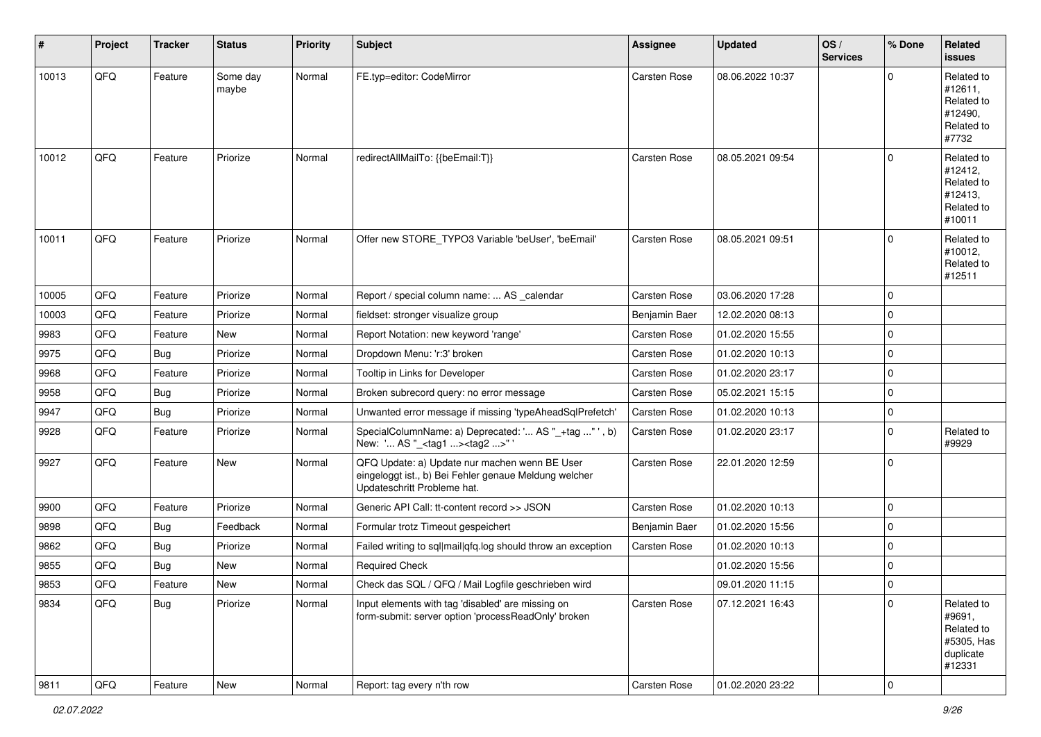| #     | Project | <b>Tracker</b> | <b>Status</b>     | <b>Priority</b> | <b>Subject</b>                                                                                                                        | <b>Assignee</b>     | <b>Updated</b>   | OS/<br><b>Services</b> | % Done      | Related<br>issues                                                       |
|-------|---------|----------------|-------------------|-----------------|---------------------------------------------------------------------------------------------------------------------------------------|---------------------|------------------|------------------------|-------------|-------------------------------------------------------------------------|
| 10013 | QFQ     | Feature        | Some day<br>maybe | Normal          | FE.typ=editor: CodeMirror                                                                                                             | <b>Carsten Rose</b> | 08.06.2022 10:37 |                        | $\Omega$    | Related to<br>#12611,<br>Related to<br>#12490,<br>Related to<br>#7732   |
| 10012 | QFQ     | Feature        | Priorize          | Normal          | redirectAllMailTo: {{beEmail:T}}                                                                                                      | <b>Carsten Rose</b> | 08.05.2021 09:54 |                        | $\Omega$    | Related to<br>#12412,<br>Related to<br>#12413,<br>Related to<br>#10011  |
| 10011 | QFQ     | Feature        | Priorize          | Normal          | Offer new STORE_TYPO3 Variable 'beUser', 'beEmail'                                                                                    | <b>Carsten Rose</b> | 08.05.2021 09:51 |                        | $\Omega$    | Related to<br>#10012,<br>Related to<br>#12511                           |
| 10005 | QFQ     | Feature        | Priorize          | Normal          | Report / special column name:  AS calendar                                                                                            | <b>Carsten Rose</b> | 03.06.2020 17:28 |                        | $\Omega$    |                                                                         |
| 10003 | QFQ     | Feature        | Priorize          | Normal          | fieldset: stronger visualize group                                                                                                    | Benjamin Baer       | 12.02.2020 08:13 |                        | $\mathbf 0$ |                                                                         |
| 9983  | QFQ     | Feature        | New               | Normal          | Report Notation: new keyword 'range'                                                                                                  | <b>Carsten Rose</b> | 01.02.2020 15:55 |                        | $\mathbf 0$ |                                                                         |
| 9975  | QFQ     | <b>Bug</b>     | Priorize          | Normal          | Dropdown Menu: 'r:3' broken                                                                                                           | <b>Carsten Rose</b> | 01.02.2020 10:13 |                        | $\mathbf 0$ |                                                                         |
| 9968  | QFQ     | Feature        | Priorize          | Normal          | Tooltip in Links for Developer                                                                                                        | <b>Carsten Rose</b> | 01.02.2020 23:17 |                        | $\mathbf 0$ |                                                                         |
| 9958  | QFQ     | Bug            | Priorize          | Normal          | Broken subrecord query: no error message                                                                                              | <b>Carsten Rose</b> | 05.02.2021 15:15 |                        | $\mathbf 0$ |                                                                         |
| 9947  | QFQ     | <b>Bug</b>     | Priorize          | Normal          | Unwanted error message if missing 'typeAheadSqlPrefetch'                                                                              | <b>Carsten Rose</b> | 01.02.2020 10:13 |                        | $\mathbf 0$ |                                                                         |
| 9928  | QFQ     | Feature        | Priorize          | Normal          | SpecialColumnName: a) Deprecated: ' AS "_+tag " ', b)<br>New: ' AS "_ <tag1><tag2>"</tag2></tag1>                                     | <b>Carsten Rose</b> | 01.02.2020 23:17 |                        | $\Omega$    | Related to<br>#9929                                                     |
| 9927  | QFQ     | Feature        | New               | Normal          | QFQ Update: a) Update nur machen wenn BE User<br>eingeloggt ist., b) Bei Fehler genaue Meldung welcher<br>Updateschritt Probleme hat. | <b>Carsten Rose</b> | 22.01.2020 12:59 |                        | 0           |                                                                         |
| 9900  | QFQ     | Feature        | Priorize          | Normal          | Generic API Call: tt-content record >> JSON                                                                                           | <b>Carsten Rose</b> | 01.02.2020 10:13 |                        | $\mathbf 0$ |                                                                         |
| 9898  | QFQ     | <b>Bug</b>     | Feedback          | Normal          | Formular trotz Timeout gespeichert                                                                                                    | Benjamin Baer       | 01.02.2020 15:56 |                        | $\mathbf 0$ |                                                                         |
| 9862  | QFQ     | <b>Bug</b>     | Priorize          | Normal          | Failed writing to sql mail qfq.log should throw an exception                                                                          | <b>Carsten Rose</b> | 01.02.2020 10:13 |                        | $\mathbf 0$ |                                                                         |
| 9855  | QFQ     | Bug            | <b>New</b>        | Normal          | <b>Required Check</b>                                                                                                                 |                     | 01.02.2020 15:56 |                        | $\mathbf 0$ |                                                                         |
| 9853  | QFQ     | Feature        | <b>New</b>        | Normal          | Check das SQL / QFQ / Mail Logfile geschrieben wird                                                                                   |                     | 09.01.2020 11:15 |                        | l 0         |                                                                         |
| 9834  | QFQ     | <b>Bug</b>     | Priorize          | Normal          | Input elements with tag 'disabled' are missing on<br>form-submit: server option 'processReadOnly' broken                              | <b>Carsten Rose</b> | 07.12.2021 16:43 |                        | $\Omega$    | Related to<br>#9691,<br>Related to<br>#5305, Has<br>duplicate<br>#12331 |
| 9811  | QFQ     | Feature        | New               | Normal          | Report: tag every n'th row                                                                                                            | Carsten Rose        | 01.02.2020 23:22 |                        | 0           |                                                                         |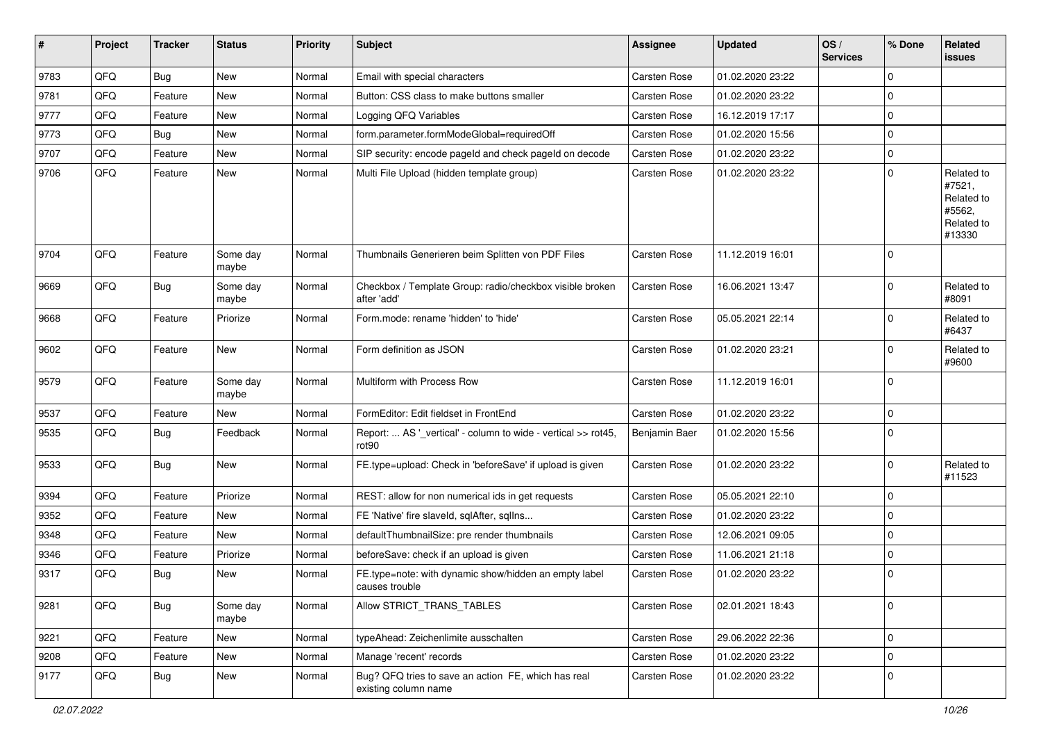| #    | Project | <b>Tracker</b> | <b>Status</b>     | <b>Priority</b> | Subject                                                                     | <b>Assignee</b>     | <b>Updated</b>   | OS/<br><b>Services</b> | % Done         | Related<br><b>issues</b>                                             |
|------|---------|----------------|-------------------|-----------------|-----------------------------------------------------------------------------|---------------------|------------------|------------------------|----------------|----------------------------------------------------------------------|
| 9783 | QFQ     | Bug            | <b>New</b>        | Normal          | Email with special characters                                               | Carsten Rose        | 01.02.2020 23:22 |                        | $\mathbf 0$    |                                                                      |
| 9781 | QFQ     | Feature        | New               | Normal          | Button: CSS class to make buttons smaller                                   | Carsten Rose        | 01.02.2020 23:22 |                        | $\mathbf 0$    |                                                                      |
| 9777 | QFQ     | Feature        | New               | Normal          | Logging QFQ Variables                                                       | <b>Carsten Rose</b> | 16.12.2019 17:17 |                        | $\mathbf 0$    |                                                                      |
| 9773 | QFQ     | Bug            | <b>New</b>        | Normal          | form.parameter.formModeGlobal=requiredOff                                   | Carsten Rose        | 01.02.2020 15:56 |                        | $\pmb{0}$      |                                                                      |
| 9707 | QFQ     | Feature        | New               | Normal          | SIP security: encode pageld and check pageld on decode                      | <b>Carsten Rose</b> | 01.02.2020 23:22 |                        | $\mathbf 0$    |                                                                      |
| 9706 | QFQ     | Feature        | New               | Normal          | Multi File Upload (hidden template group)                                   | <b>Carsten Rose</b> | 01.02.2020 23:22 |                        | $\overline{0}$ | Related to<br>#7521,<br>Related to<br>#5562,<br>Related to<br>#13330 |
| 9704 | QFQ     | Feature        | Some day<br>maybe | Normal          | Thumbnails Generieren beim Splitten von PDF Files                           | Carsten Rose        | 11.12.2019 16:01 |                        | $\mathbf 0$    |                                                                      |
| 9669 | QFQ     | <b>Bug</b>     | Some day<br>maybe | Normal          | Checkbox / Template Group: radio/checkbox visible broken<br>after 'add'     | Carsten Rose        | 16.06.2021 13:47 |                        | $\mathbf 0$    | Related to<br>#8091                                                  |
| 9668 | QFQ     | Feature        | Priorize          | Normal          | Form.mode: rename 'hidden' to 'hide'                                        | <b>Carsten Rose</b> | 05.05.2021 22:14 |                        | $\mathbf 0$    | Related to<br>#6437                                                  |
| 9602 | QFQ     | Feature        | <b>New</b>        | Normal          | Form definition as JSON                                                     | <b>Carsten Rose</b> | 01.02.2020 23:21 |                        | $\mathbf 0$    | Related to<br>#9600                                                  |
| 9579 | QFQ     | Feature        | Some day<br>maybe | Normal          | Multiform with Process Row                                                  | Carsten Rose        | 11.12.2019 16:01 |                        | $\mathbf 0$    |                                                                      |
| 9537 | QFQ     | Feature        | New               | Normal          | FormEditor: Edit fieldset in FrontEnd                                       | Carsten Rose        | 01.02.2020 23:22 |                        | $\mathbf 0$    |                                                                      |
| 9535 | QFQ     | Bug            | Feedback          | Normal          | Report:  AS '_vertical' - column to wide - vertical >> rot45,<br>rot90      | Benjamin Baer       | 01.02.2020 15:56 |                        | $\mathbf 0$    |                                                                      |
| 9533 | QFQ     | Bug            | New               | Normal          | FE.type=upload: Check in 'beforeSave' if upload is given                    | Carsten Rose        | 01.02.2020 23:22 |                        | $\mathbf 0$    | Related to<br>#11523                                                 |
| 9394 | QFQ     | Feature        | Priorize          | Normal          | REST: allow for non numerical ids in get requests                           | Carsten Rose        | 05.05.2021 22:10 |                        | $\mathbf 0$    |                                                                      |
| 9352 | QFQ     | Feature        | New               | Normal          | FE 'Native' fire slaveld, sqlAfter, sqlIns                                  | <b>Carsten Rose</b> | 01.02.2020 23:22 |                        | $\mathbf 0$    |                                                                      |
| 9348 | QFQ     | Feature        | New               | Normal          | defaultThumbnailSize: pre render thumbnails                                 | <b>Carsten Rose</b> | 12.06.2021 09:05 |                        | $\mathbf 0$    |                                                                      |
| 9346 | QFQ     | Feature        | Priorize          | Normal          | beforeSave: check if an upload is given                                     | Carsten Rose        | 11.06.2021 21:18 |                        | $\mathbf 0$    |                                                                      |
| 9317 | QFQ     | <b>Bug</b>     | New               | Normal          | FE.type=note: with dynamic show/hidden an empty label<br>causes trouble     | <b>Carsten Rose</b> | 01.02.2020 23:22 |                        | $\mathbf 0$    |                                                                      |
| 9281 | QFQ     | <b>Bug</b>     | Some day<br>maybe | Normal          | Allow STRICT_TRANS_TABLES                                                   | Carsten Rose        | 02.01.2021 18:43 |                        | $\mathbf 0$    |                                                                      |
| 9221 | QFQ     | Feature        | New               | Normal          | typeAhead: Zeichenlimite ausschalten                                        | Carsten Rose        | 29.06.2022 22:36 |                        | $\mathbf 0$    |                                                                      |
| 9208 | QFQ     | Feature        | New               | Normal          | Manage 'recent' records                                                     | Carsten Rose        | 01.02.2020 23:22 |                        | $\pmb{0}$      |                                                                      |
| 9177 | QFQ     | <b>Bug</b>     | New               | Normal          | Bug? QFQ tries to save an action FE, which has real<br>existing column name | Carsten Rose        | 01.02.2020 23:22 |                        | $\mathbf 0$    |                                                                      |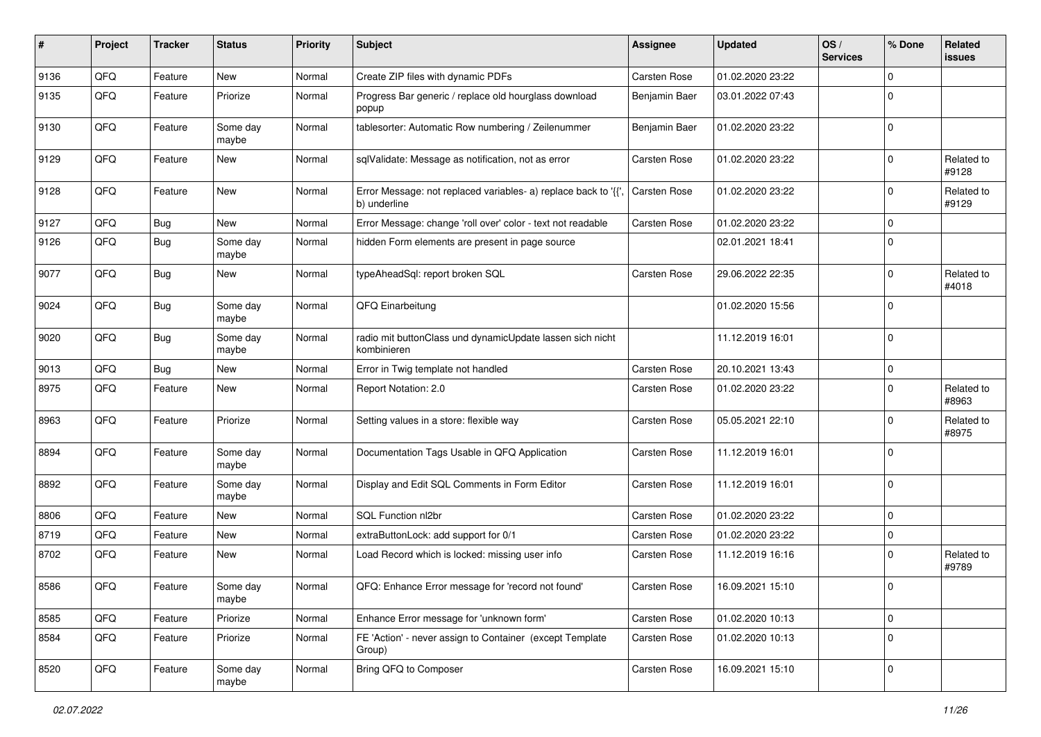| #    | Project | <b>Tracker</b> | <b>Status</b>     | <b>Priority</b> | Subject                                                                        | <b>Assignee</b>     | <b>Updated</b>   | OS/<br><b>Services</b> | % Done      | Related<br>issues   |
|------|---------|----------------|-------------------|-----------------|--------------------------------------------------------------------------------|---------------------|------------------|------------------------|-------------|---------------------|
| 9136 | QFQ     | Feature        | <b>New</b>        | Normal          | Create ZIP files with dynamic PDFs                                             | Carsten Rose        | 01.02.2020 23:22 |                        | $\Omega$    |                     |
| 9135 | QFQ     | Feature        | Priorize          | Normal          | Progress Bar generic / replace old hourglass download<br>popup                 | Benjamin Baer       | 03.01.2022 07:43 |                        | $\Omega$    |                     |
| 9130 | QFQ     | Feature        | Some day<br>maybe | Normal          | tablesorter: Automatic Row numbering / Zeilenummer                             | Benjamin Baer       | 01.02.2020 23:22 |                        | $\Omega$    |                     |
| 9129 | QFQ     | Feature        | New               | Normal          | sqlValidate: Message as notification, not as error                             | <b>Carsten Rose</b> | 01.02.2020 23:22 |                        | $\Omega$    | Related to<br>#9128 |
| 9128 | QFQ     | Feature        | New               | Normal          | Error Message: not replaced variables- a) replace back to '{{'<br>b) underline | Carsten Rose        | 01.02.2020 23:22 |                        | $\Omega$    | Related to<br>#9129 |
| 9127 | QFQ     | Bug            | <b>New</b>        | Normal          | Error Message: change 'roll over' color - text not readable                    | Carsten Rose        | 01.02.2020 23:22 |                        | $\mathbf 0$ |                     |
| 9126 | QFQ     | <b>Bug</b>     | Some day<br>maybe | Normal          | hidden Form elements are present in page source                                |                     | 02.01.2021 18:41 |                        | $\Omega$    |                     |
| 9077 | QFQ     | Bug            | New               | Normal          | typeAheadSql: report broken SQL                                                | <b>Carsten Rose</b> | 29.06.2022 22:35 |                        | $\mathbf 0$ | Related to<br>#4018 |
| 9024 | QFQ     | Bug            | Some day<br>maybe | Normal          | QFQ Einarbeitung                                                               |                     | 01.02.2020 15:56 |                        | $\Omega$    |                     |
| 9020 | QFQ     | <b>Bug</b>     | Some day<br>maybe | Normal          | radio mit buttonClass und dynamicUpdate lassen sich nicht<br>kombinieren       |                     | 11.12.2019 16:01 |                        | $\Omega$    |                     |
| 9013 | QFQ     | Bug            | <b>New</b>        | Normal          | Error in Twig template not handled                                             | Carsten Rose        | 20.10.2021 13:43 |                        | $\Omega$    |                     |
| 8975 | QFQ     | Feature        | New               | Normal          | Report Notation: 2.0                                                           | <b>Carsten Rose</b> | 01.02.2020 23:22 |                        | $\Omega$    | Related to<br>#8963 |
| 8963 | QFQ     | Feature        | Priorize          | Normal          | Setting values in a store: flexible way                                        | <b>Carsten Rose</b> | 05.05.2021 22:10 |                        | $\Omega$    | Related to<br>#8975 |
| 8894 | QFQ     | Feature        | Some day<br>maybe | Normal          | Documentation Tags Usable in QFQ Application                                   | <b>Carsten Rose</b> | 11.12.2019 16:01 |                        | $\Omega$    |                     |
| 8892 | QFQ     | Feature        | Some day<br>maybe | Normal          | Display and Edit SQL Comments in Form Editor                                   | <b>Carsten Rose</b> | 11.12.2019 16:01 |                        | $\Omega$    |                     |
| 8806 | QFQ     | Feature        | <b>New</b>        | Normal          | SQL Function nl2br                                                             | <b>Carsten Rose</b> | 01.02.2020 23:22 |                        | $\mathbf 0$ |                     |
| 8719 | QFQ     | Feature        | New               | Normal          | extraButtonLock: add support for 0/1                                           | <b>Carsten Rose</b> | 01.02.2020 23:22 |                        | $\mathbf 0$ |                     |
| 8702 | QFQ     | Feature        | New               | Normal          | Load Record which is locked: missing user info                                 | Carsten Rose        | 11.12.2019 16:16 |                        | $\Omega$    | Related to<br>#9789 |
| 8586 | QFG     | Feature        | Some day<br>maybe | Normal          | QFQ: Enhance Error message for 'record not found'                              | Carsten Rose        | 16.09.2021 15:10 |                        | l O         |                     |
| 8585 | QFQ     | Feature        | Priorize          | Normal          | Enhance Error message for 'unknown form'                                       | Carsten Rose        | 01.02.2020 10:13 |                        | $\mathbf 0$ |                     |
| 8584 | QFQ     | Feature        | Priorize          | Normal          | FE 'Action' - never assign to Container (except Template<br>Group)             | Carsten Rose        | 01.02.2020 10:13 |                        | $\mathbf 0$ |                     |
| 8520 | QFQ     | Feature        | Some day<br>maybe | Normal          | Bring QFQ to Composer                                                          | Carsten Rose        | 16.09.2021 15:10 |                        | 0           |                     |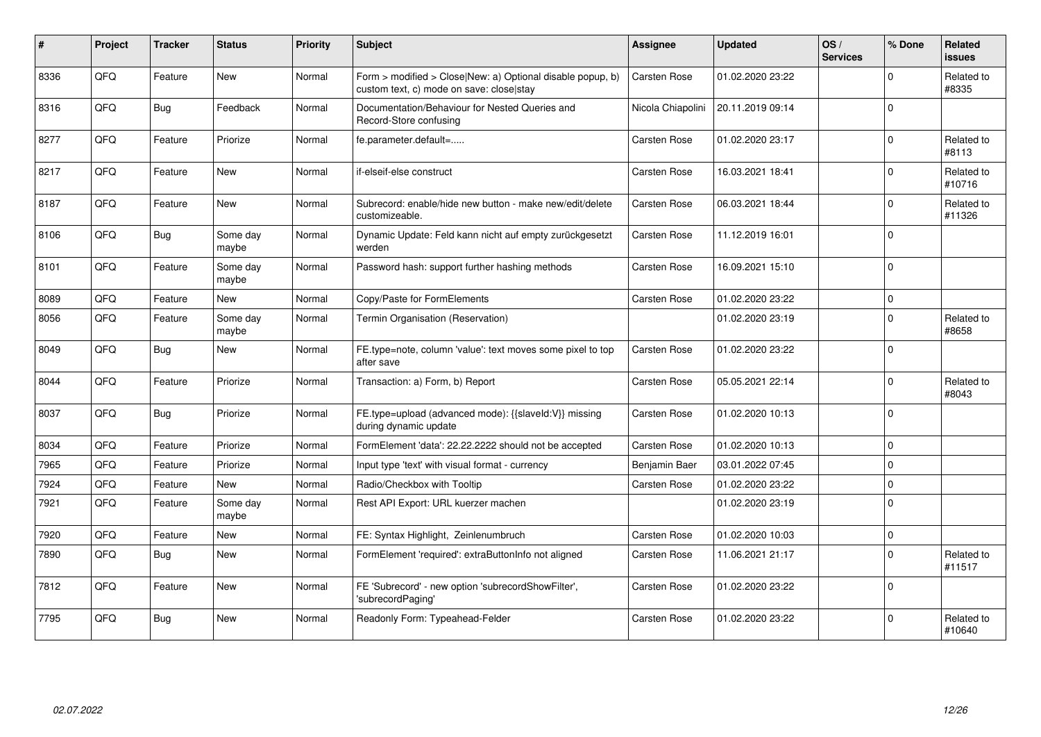| #    | Project | <b>Tracker</b> | <b>Status</b>     | <b>Priority</b> | <b>Subject</b>                                                                                         | Assignee            | <b>Updated</b>   | OS/<br><b>Services</b> | % Done      | Related<br>issues    |
|------|---------|----------------|-------------------|-----------------|--------------------------------------------------------------------------------------------------------|---------------------|------------------|------------------------|-------------|----------------------|
| 8336 | QFQ     | Feature        | <b>New</b>        | Normal          | Form > modified > Close New: a) Optional disable popup, b)<br>custom text, c) mode on save: close stay | <b>Carsten Rose</b> | 01.02.2020 23:22 |                        | $\Omega$    | Related to<br>#8335  |
| 8316 | QFQ     | Bug            | Feedback          | Normal          | Documentation/Behaviour for Nested Queries and<br>Record-Store confusing                               | Nicola Chiapolini   | 20.11.2019 09:14 |                        | $\mathbf 0$ |                      |
| 8277 | QFQ     | Feature        | Priorize          | Normal          | fe.parameter.default=                                                                                  | Carsten Rose        | 01.02.2020 23:17 |                        | $\mathbf 0$ | Related to<br>#8113  |
| 8217 | QFQ     | Feature        | <b>New</b>        | Normal          | if-elseif-else construct                                                                               | Carsten Rose        | 16.03.2021 18:41 |                        | $\mathbf 0$ | Related to<br>#10716 |
| 8187 | QFQ     | Feature        | <b>New</b>        | Normal          | Subrecord: enable/hide new button - make new/edit/delete<br>customizeable.                             | Carsten Rose        | 06.03.2021 18:44 |                        | $\mathbf 0$ | Related to<br>#11326 |
| 8106 | QFQ     | Bug            | Some dav<br>maybe | Normal          | Dynamic Update: Feld kann nicht auf empty zurückgesetzt<br>werden                                      | Carsten Rose        | 11.12.2019 16:01 |                        | $\mathbf 0$ |                      |
| 8101 | QFQ     | Feature        | Some dav<br>maybe | Normal          | Password hash: support further hashing methods                                                         | Carsten Rose        | 16.09.2021 15:10 |                        | $\Omega$    |                      |
| 8089 | QFQ     | Feature        | <b>New</b>        | Normal          | Copy/Paste for FormElements                                                                            | Carsten Rose        | 01.02.2020 23:22 |                        | $\mathbf 0$ |                      |
| 8056 | QFQ     | Feature        | Some day<br>maybe | Normal          | Termin Organisation (Reservation)                                                                      |                     | 01.02.2020 23:19 |                        | $\mathbf 0$ | Related to<br>#8658  |
| 8049 | QFQ     | Bug            | <b>New</b>        | Normal          | FE.type=note, column 'value': text moves some pixel to top<br>after save                               | <b>Carsten Rose</b> | 01.02.2020 23:22 |                        | $\Omega$    |                      |
| 8044 | QFQ     | Feature        | Priorize          | Normal          | Transaction: a) Form, b) Report                                                                        | Carsten Rose        | 05.05.2021 22:14 |                        | $\mathbf 0$ | Related to<br>#8043  |
| 8037 | QFQ     | Bug            | Priorize          | Normal          | FE.type=upload (advanced mode): {{slaveld:V}} missing<br>during dynamic update                         | Carsten Rose        | 01.02.2020 10:13 |                        | $\Omega$    |                      |
| 8034 | QFQ     | Feature        | Priorize          | Normal          | FormElement 'data': 22.22.2222 should not be accepted                                                  | Carsten Rose        | 01.02.2020 10:13 |                        | $\mathbf 0$ |                      |
| 7965 | QFQ     | Feature        | Priorize          | Normal          | Input type 'text' with visual format - currency                                                        | Benjamin Baer       | 03.01.2022 07:45 |                        | $\Omega$    |                      |
| 7924 | QFQ     | Feature        | <b>New</b>        | Normal          | Radio/Checkbox with Tooltip                                                                            | <b>Carsten Rose</b> | 01.02.2020 23:22 |                        | $\mathbf 0$ |                      |
| 7921 | QFQ     | Feature        | Some day<br>maybe | Normal          | Rest API Export: URL kuerzer machen                                                                    |                     | 01.02.2020 23:19 |                        | $\mathbf 0$ |                      |
| 7920 | QFQ     | Feature        | New               | Normal          | FE: Syntax Highlight, Zeinlenumbruch                                                                   | <b>Carsten Rose</b> | 01.02.2020 10:03 |                        | $\mathbf 0$ |                      |
| 7890 | QFQ     | Bug            | New               | Normal          | FormElement 'required': extraButtonInfo not aligned                                                    | Carsten Rose        | 11.06.2021 21:17 |                        | $\Omega$    | Related to<br>#11517 |
| 7812 | QFQ     | Feature        | New               | Normal          | FE 'Subrecord' - new option 'subrecordShowFilter',<br>'subrecordPaging'                                | <b>Carsten Rose</b> | 01.02.2020 23:22 |                        | $\mathbf 0$ |                      |
| 7795 | QFQ     | <b>Bug</b>     | New               | Normal          | Readonly Form: Typeahead-Felder                                                                        | <b>Carsten Rose</b> | 01.02.2020 23:22 |                        | $\Omega$    | Related to<br>#10640 |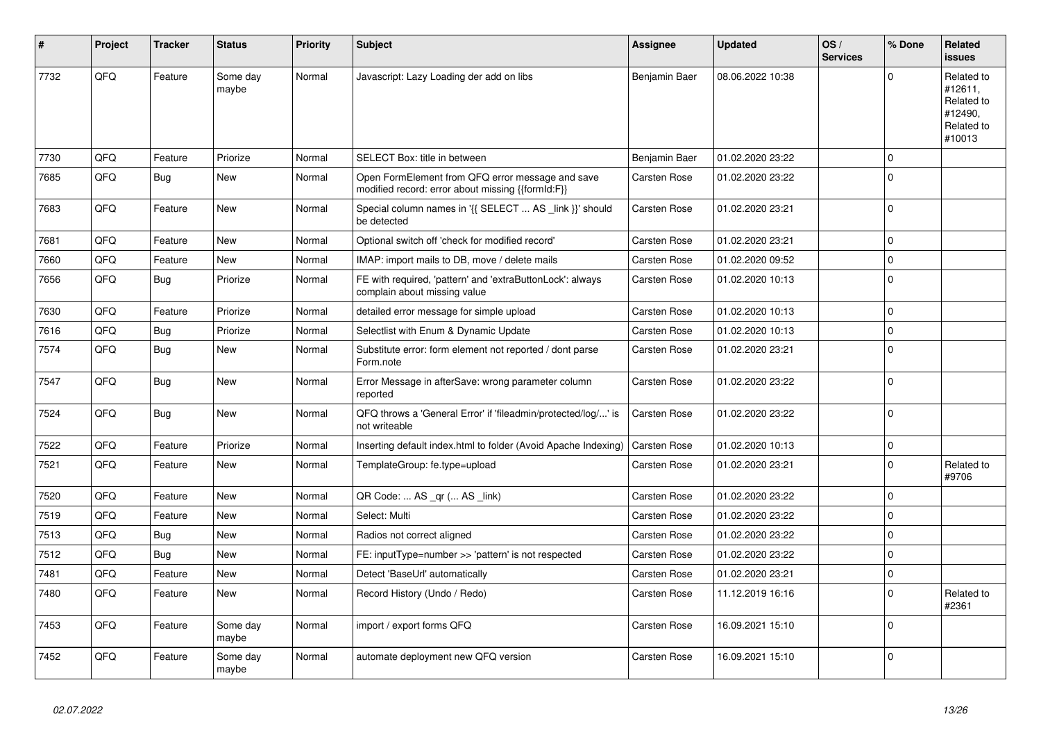| #    | Project | <b>Tracker</b> | <b>Status</b>     | <b>Priority</b> | Subject                                                                                               | Assignee            | <b>Updated</b>   | OS/<br><b>Services</b> | % Done         | Related<br>issues                                                      |
|------|---------|----------------|-------------------|-----------------|-------------------------------------------------------------------------------------------------------|---------------------|------------------|------------------------|----------------|------------------------------------------------------------------------|
| 7732 | QFQ     | Feature        | Some day<br>maybe | Normal          | Javascript: Lazy Loading der add on libs                                                              | Benjamin Baer       | 08.06.2022 10:38 |                        | $\Omega$       | Related to<br>#12611,<br>Related to<br>#12490,<br>Related to<br>#10013 |
| 7730 | QFQ     | Feature        | Priorize          | Normal          | SELECT Box: title in between                                                                          | Benjamin Baer       | 01.02.2020 23:22 |                        | 0 I            |                                                                        |
| 7685 | QFQ     | <b>Bug</b>     | <b>New</b>        | Normal          | Open FormElement from QFQ error message and save<br>modified record: error about missing {{formId:F}} | <b>Carsten Rose</b> | 01.02.2020 23:22 |                        | $\Omega$       |                                                                        |
| 7683 | QFQ     | Feature        | New               | Normal          | Special column names in '{{ SELECT  AS _link }}' should<br>be detected                                | Carsten Rose        | 01.02.2020 23:21 |                        | $\Omega$       |                                                                        |
| 7681 | QFQ     | Feature        | <b>New</b>        | Normal          | Optional switch off 'check for modified record'                                                       | <b>Carsten Rose</b> | 01.02.2020 23:21 |                        | 0 I            |                                                                        |
| 7660 | QFQ     | Feature        | New               | Normal          | IMAP: import mails to DB, move / delete mails                                                         | Carsten Rose        | 01.02.2020 09:52 |                        | $\mathbf 0$    |                                                                        |
| 7656 | QFQ     | Bug            | Priorize          | Normal          | FE with required, 'pattern' and 'extraButtonLock': always<br>complain about missing value             | <b>Carsten Rose</b> | 01.02.2020 10:13 |                        | $\Omega$       |                                                                        |
| 7630 | QFQ     | Feature        | Priorize          | Normal          | detailed error message for simple upload                                                              | Carsten Rose        | 01.02.2020 10:13 |                        | 0              |                                                                        |
| 7616 | QFQ     | <b>Bug</b>     | Priorize          | Normal          | Selectlist with Enum & Dynamic Update                                                                 | Carsten Rose        | 01.02.2020 10:13 |                        | 0              |                                                                        |
| 7574 | QFQ     | <b>Bug</b>     | <b>New</b>        | Normal          | Substitute error: form element not reported / dont parse<br>Form.note                                 | Carsten Rose        | 01.02.2020 23:21 |                        | $\Omega$       |                                                                        |
| 7547 | QFQ     | <b>Bug</b>     | New               | Normal          | Error Message in afterSave: wrong parameter column<br>reported                                        | Carsten Rose        | 01.02.2020 23:22 |                        | l 0            |                                                                        |
| 7524 | QFQ     | <b>Bug</b>     | New               | Normal          | QFQ throws a 'General Error' if 'fileadmin/protected/log/' is<br>not writeable                        | <b>Carsten Rose</b> | 01.02.2020 23:22 |                        | $\Omega$       |                                                                        |
| 7522 | QFQ     | Feature        | Priorize          | Normal          | Inserting default index.html to folder (Avoid Apache Indexing)                                        | <b>Carsten Rose</b> | 01.02.2020 10:13 |                        | $\mathbf 0$    |                                                                        |
| 7521 | QFQ     | Feature        | <b>New</b>        | Normal          | TemplateGroup: fe.type=upload                                                                         | Carsten Rose        | 01.02.2020 23:21 |                        | $\Omega$       | Related to<br>#9706                                                    |
| 7520 | QFQ     | Feature        | <b>New</b>        | Normal          | QR Code:  AS _qr ( AS _link)                                                                          | Carsten Rose        | 01.02.2020 23:22 |                        | $\Omega$       |                                                                        |
| 7519 | QFQ     | Feature        | <b>New</b>        | Normal          | Select: Multi                                                                                         | <b>Carsten Rose</b> | 01.02.2020 23:22 |                        | 0 I            |                                                                        |
| 7513 | QFQ     | <b>Bug</b>     | <b>New</b>        | Normal          | Radios not correct aligned                                                                            | Carsten Rose        | 01.02.2020 23:22 |                        | $\mathbf 0$    |                                                                        |
| 7512 | QFQ     | <b>Bug</b>     | <b>New</b>        | Normal          | FE: inputType=number >> 'pattern' is not respected                                                    | <b>Carsten Rose</b> | 01.02.2020 23:22 |                        | $\overline{0}$ |                                                                        |
| 7481 | QFQ     | Feature        | <b>New</b>        | Normal          | Detect 'BaseUrl' automatically                                                                        | Carsten Rose        | 01.02.2020 23:21 |                        | $\Omega$       |                                                                        |
| 7480 | QFQ     | Feature        | New               | Normal          | Record History (Undo / Redo)                                                                          | Carsten Rose        | 11.12.2019 16:16 |                        | $\Omega$       | Related to<br>#2361                                                    |
| 7453 | QFQ     | Feature        | Some day<br>maybe | Normal          | import / export forms QFQ                                                                             | Carsten Rose        | 16.09.2021 15:10 |                        | $\Omega$       |                                                                        |
| 7452 | QFQ     | Feature        | Some day<br>maybe | Normal          | automate deployment new QFQ version                                                                   | Carsten Rose        | 16.09.2021 15:10 |                        | l 0            |                                                                        |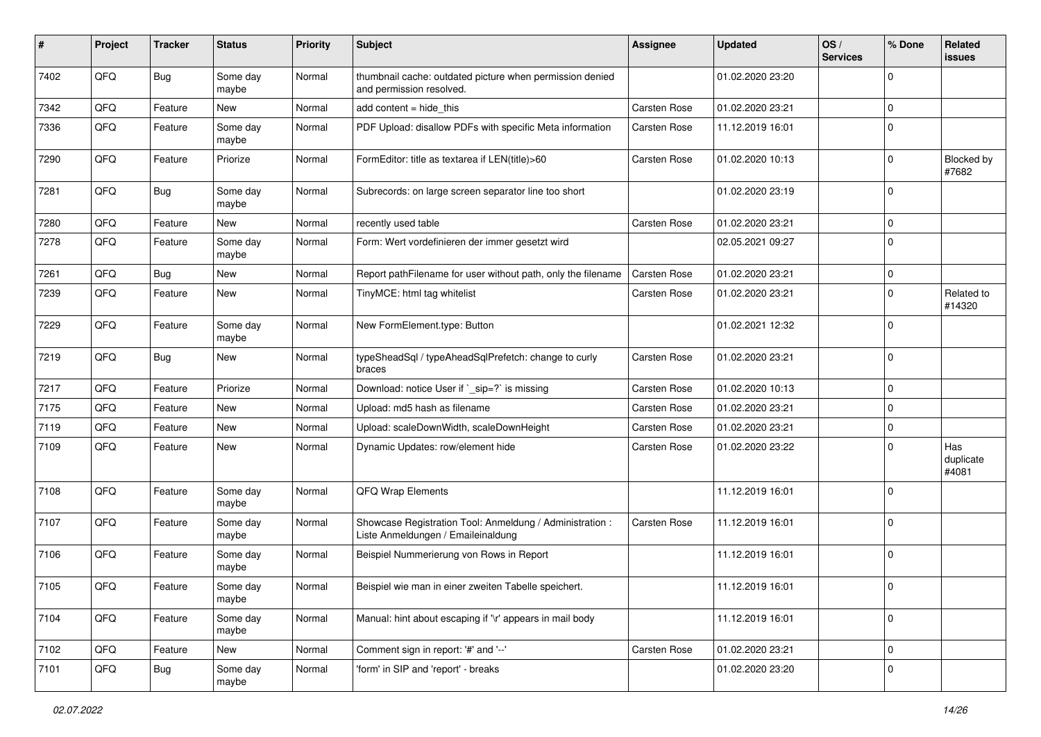| #    | Project | <b>Tracker</b> | <b>Status</b>     | <b>Priority</b> | <b>Subject</b>                                                                                 | <b>Assignee</b>     | <b>Updated</b>   | OS/<br><b>Services</b> | % Done       | Related<br>issues         |
|------|---------|----------------|-------------------|-----------------|------------------------------------------------------------------------------------------------|---------------------|------------------|------------------------|--------------|---------------------------|
| 7402 | QFQ     | <b>Bug</b>     | Some day<br>maybe | Normal          | thumbnail cache: outdated picture when permission denied<br>and permission resolved.           |                     | 01.02.2020 23:20 |                        | 0            |                           |
| 7342 | QFQ     | Feature        | <b>New</b>        | Normal          | add content = hide_this                                                                        | <b>Carsten Rose</b> | 01.02.2020 23:21 |                        | $\mathbf 0$  |                           |
| 7336 | QFQ     | Feature        | Some day<br>maybe | Normal          | PDF Upload: disallow PDFs with specific Meta information                                       | Carsten Rose        | 11.12.2019 16:01 |                        | $\mathbf 0$  |                           |
| 7290 | QFQ     | Feature        | Priorize          | Normal          | FormEditor: title as textarea if LEN(title)>60                                                 | <b>Carsten Rose</b> | 01.02.2020 10:13 |                        | $\mathbf 0$  | Blocked by<br>#7682       |
| 7281 | QFQ     | <b>Bug</b>     | Some day<br>maybe | Normal          | Subrecords: on large screen separator line too short                                           |                     | 01.02.2020 23:19 |                        | $\mathbf 0$  |                           |
| 7280 | QFQ     | Feature        | New               | Normal          | recently used table                                                                            | <b>Carsten Rose</b> | 01.02.2020 23:21 |                        | $\mathbf{0}$ |                           |
| 7278 | QFQ     | Feature        | Some day<br>maybe | Normal          | Form: Wert vordefinieren der immer gesetzt wird                                                |                     | 02.05.2021 09:27 |                        | 0            |                           |
| 7261 | QFQ     | <b>Bug</b>     | New               | Normal          | Report pathFilename for user without path, only the filename                                   | <b>Carsten Rose</b> | 01.02.2020 23:21 |                        | 0            |                           |
| 7239 | QFQ     | Feature        | <b>New</b>        | Normal          | TinyMCE: html tag whitelist                                                                    | Carsten Rose        | 01.02.2020 23:21 |                        | 0            | Related to<br>#14320      |
| 7229 | QFQ     | Feature        | Some day<br>maybe | Normal          | New FormElement.type: Button                                                                   |                     | 01.02.2021 12:32 |                        | 0            |                           |
| 7219 | QFQ     | <b>Bug</b>     | New               | Normal          | typeSheadSql / typeAheadSqlPrefetch: change to curly<br>braces                                 | Carsten Rose        | 01.02.2020 23:21 |                        | $\mathbf 0$  |                           |
| 7217 | QFQ     | Feature        | Priorize          | Normal          | Download: notice User if `_sip=?` is missing                                                   | <b>Carsten Rose</b> | 01.02.2020 10:13 |                        | 0            |                           |
| 7175 | QFQ     | Feature        | New               | Normal          | Upload: md5 hash as filename                                                                   | <b>Carsten Rose</b> | 01.02.2020 23:21 |                        | $\mathbf 0$  |                           |
| 7119 | QFQ     | Feature        | <b>New</b>        | Normal          | Upload: scaleDownWidth, scaleDownHeight                                                        | Carsten Rose        | 01.02.2020 23:21 |                        | 0            |                           |
| 7109 | QFQ     | Feature        | New               | Normal          | Dynamic Updates: row/element hide                                                              | Carsten Rose        | 01.02.2020 23:22 |                        | 0            | Has<br>duplicate<br>#4081 |
| 7108 | QFQ     | Feature        | Some day<br>maybe | Normal          | <b>QFQ Wrap Elements</b>                                                                       |                     | 11.12.2019 16:01 |                        | 0            |                           |
| 7107 | QFQ     | Feature        | Some day<br>maybe | Normal          | Showcase Registration Tool: Anmeldung / Administration :<br>Liste Anmeldungen / Emaileinaldung | Carsten Rose        | 11.12.2019 16:01 |                        | 0            |                           |
| 7106 | QFQ     | Feature        | Some day<br>maybe | Normal          | Beispiel Nummerierung von Rows in Report                                                       |                     | 11.12.2019 16:01 |                        | 0            |                           |
| 7105 | QFQ     | Feature        | Some day<br>maybe | Normal          | Beispiel wie man in einer zweiten Tabelle speichert.                                           |                     | 11.12.2019 16:01 |                        | $\mathbf 0$  |                           |
| 7104 | QFG     | Feature        | Some day<br>maybe | Normal          | Manual: hint about escaping if '\r' appears in mail body                                       |                     | 11.12.2019 16:01 |                        | 0            |                           |
| 7102 | QFG     | Feature        | New               | Normal          | Comment sign in report: '#' and '--'                                                           | Carsten Rose        | 01.02.2020 23:21 |                        | $\pmb{0}$    |                           |
| 7101 | QFQ     | <b>Bug</b>     | Some day<br>maybe | Normal          | 'form' in SIP and 'report' - breaks                                                            |                     | 01.02.2020 23:20 |                        | 0            |                           |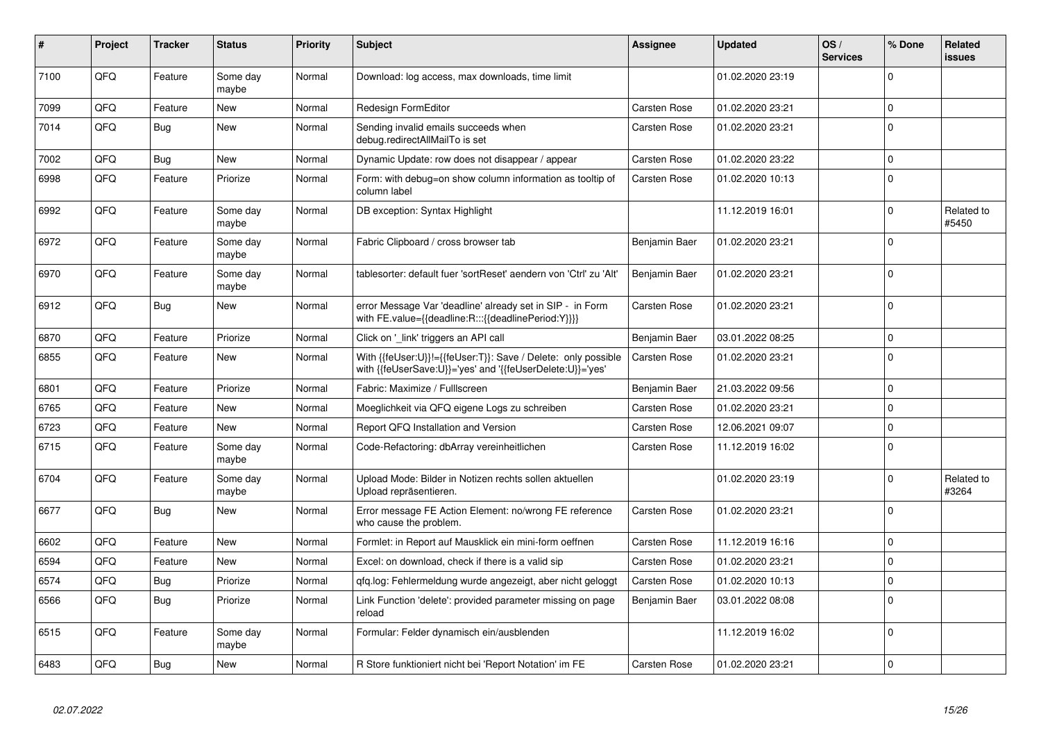| #    | Project | <b>Tracker</b> | <b>Status</b>     | <b>Priority</b> | <b>Subject</b>                                                                                                             | <b>Assignee</b>     | Updated          | OS/<br><b>Services</b> | % Done      | Related<br>issues   |
|------|---------|----------------|-------------------|-----------------|----------------------------------------------------------------------------------------------------------------------------|---------------------|------------------|------------------------|-------------|---------------------|
| 7100 | QFQ     | Feature        | Some day<br>maybe | Normal          | Download: log access, max downloads, time limit                                                                            |                     | 01.02.2020 23:19 |                        | $\Omega$    |                     |
| 7099 | QFQ     | Feature        | <b>New</b>        | Normal          | Redesign FormEditor                                                                                                        | <b>Carsten Rose</b> | 01.02.2020 23:21 |                        | $\mathbf 0$ |                     |
| 7014 | QFQ     | <b>Bug</b>     | New               | Normal          | Sending invalid emails succeeds when<br>debug.redirectAllMailTo is set                                                     | Carsten Rose        | 01.02.2020 23:21 |                        | $\Omega$    |                     |
| 7002 | QFQ     | Bug            | <b>New</b>        | Normal          | Dynamic Update: row does not disappear / appear                                                                            | <b>Carsten Rose</b> | 01.02.2020 23:22 |                        | $\Omega$    |                     |
| 6998 | QFQ     | Feature        | Priorize          | Normal          | Form: with debug=on show column information as tooltip of<br>column label                                                  | <b>Carsten Rose</b> | 01.02.2020 10:13 |                        | $\Omega$    |                     |
| 6992 | QFQ     | Feature        | Some day<br>maybe | Normal          | DB exception: Syntax Highlight                                                                                             |                     | 11.12.2019 16:01 |                        | $\mathbf 0$ | Related to<br>#5450 |
| 6972 | QFQ     | Feature        | Some day<br>maybe | Normal          | Fabric Clipboard / cross browser tab                                                                                       | Benjamin Baer       | 01.02.2020 23:21 |                        | $\mathbf 0$ |                     |
| 6970 | QFQ     | Feature        | Some day<br>maybe | Normal          | tablesorter: default fuer 'sortReset' aendern von 'Ctrl' zu 'Alt'                                                          | Benjamin Baer       | 01.02.2020 23:21 |                        | $\Omega$    |                     |
| 6912 | QFQ     | <b>Bug</b>     | <b>New</b>        | Normal          | error Message Var 'deadline' already set in SIP - in Form<br>with FE.value={{deadline:R:::{{deadlinePeriod:Y}}}}           | <b>Carsten Rose</b> | 01.02.2020 23:21 |                        | $\Omega$    |                     |
| 6870 | QFQ     | Feature        | Priorize          | Normal          | Click on '_link' triggers an API call                                                                                      | Benjamin Baer       | 03.01.2022 08:25 |                        | 0           |                     |
| 6855 | QFQ     | Feature        | New               | Normal          | With {{feUser:U}}!={{feUser:T}}: Save / Delete: only possible<br>with {{feUserSave:U}}='yes' and '{{feUserDelete:U}}='yes' | <b>Carsten Rose</b> | 01.02.2020 23:21 |                        | $\mathbf 0$ |                     |
| 6801 | QFQ     | Feature        | Priorize          | Normal          | Fabric: Maximize / FullIscreen                                                                                             | Benjamin Baer       | 21.03.2022 09:56 |                        | $\mathbf 0$ |                     |
| 6765 | QFQ     | Feature        | New               | Normal          | Moeglichkeit via QFQ eigene Logs zu schreiben                                                                              | <b>Carsten Rose</b> | 01.02.2020 23:21 |                        | $\Omega$    |                     |
| 6723 | QFQ     | Feature        | New               | Normal          | Report QFQ Installation and Version                                                                                        | Carsten Rose        | 12.06.2021 09:07 |                        | 0           |                     |
| 6715 | QFQ     | Feature        | Some day<br>maybe | Normal          | Code-Refactoring: dbArray vereinheitlichen                                                                                 | <b>Carsten Rose</b> | 11.12.2019 16:02 |                        | $\Omega$    |                     |
| 6704 | QFQ     | Feature        | Some day<br>maybe | Normal          | Upload Mode: Bilder in Notizen rechts sollen aktuellen<br>Upload repräsentieren.                                           |                     | 01.02.2020 23:19 |                        | $\Omega$    | Related to<br>#3264 |
| 6677 | QFQ     | <b>Bug</b>     | <b>New</b>        | Normal          | Error message FE Action Element: no/wrong FE reference<br>who cause the problem.                                           | Carsten Rose        | 01.02.2020 23:21 |                        | $\mathbf 0$ |                     |
| 6602 | QFQ     | Feature        | <b>New</b>        | Normal          | Formlet: in Report auf Mausklick ein mini-form oeffnen                                                                     | <b>Carsten Rose</b> | 11.12.2019 16:16 |                        | $\mathbf 0$ |                     |
| 6594 | QFQ     | Feature        | New               | Normal          | Excel: on download, check if there is a valid sip                                                                          | <b>Carsten Rose</b> | 01.02.2020 23:21 |                        | 0           |                     |
| 6574 | QFQ     | <b>Bug</b>     | Priorize          | Normal          | qfq.log: Fehlermeldung wurde angezeigt, aber nicht geloggt                                                                 | <b>Carsten Rose</b> | 01.02.2020 10:13 |                        | $\mathbf 0$ |                     |
| 6566 | QFQ     | <b>Bug</b>     | Priorize          | Normal          | Link Function 'delete': provided parameter missing on page<br>reload                                                       | Benjamin Baer       | 03.01.2022 08:08 |                        | $\mathbf 0$ |                     |
| 6515 | QFQ     | Feature        | Some day<br>maybe | Normal          | Formular: Felder dynamisch ein/ausblenden                                                                                  |                     | 11.12.2019 16:02 |                        | $\mathbf 0$ |                     |
| 6483 | QFQ     | Bug            | <b>New</b>        | Normal          | R Store funktioniert nicht bei 'Report Notation' im FE                                                                     | <b>Carsten Rose</b> | 01.02.2020 23:21 |                        | $\mathbf 0$ |                     |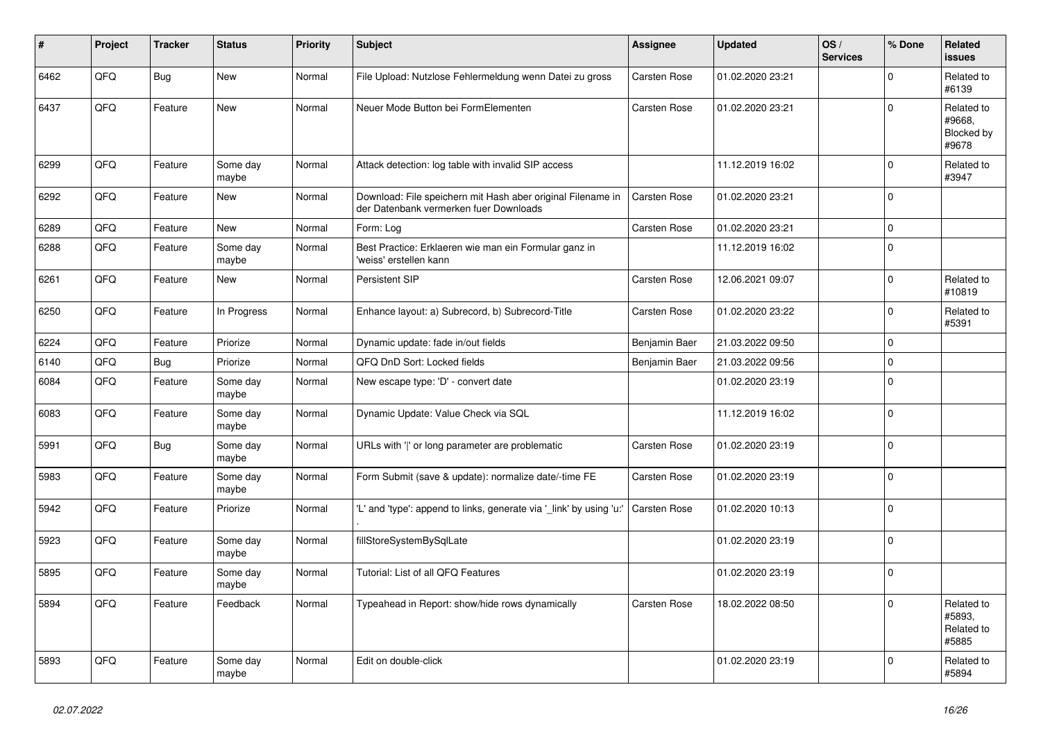| #    | Project | <b>Tracker</b> | <b>Status</b>     | <b>Priority</b> | <b>Subject</b>                                                                                        | <b>Assignee</b>     | <b>Updated</b>   | OS/<br><b>Services</b> | % Done       | Related<br><b>issues</b>                    |
|------|---------|----------------|-------------------|-----------------|-------------------------------------------------------------------------------------------------------|---------------------|------------------|------------------------|--------------|---------------------------------------------|
| 6462 | QFQ     | <b>Bug</b>     | <b>New</b>        | Normal          | File Upload: Nutzlose Fehlermeldung wenn Datei zu gross                                               | <b>Carsten Rose</b> | 01.02.2020 23:21 |                        | $\Omega$     | Related to<br>#6139                         |
| 6437 | QFQ     | Feature        | <b>New</b>        | Normal          | Neuer Mode Button bei FormElementen                                                                   | <b>Carsten Rose</b> | 01.02.2020 23:21 |                        | $\Omega$     | Related to<br>#9668,<br>Blocked by<br>#9678 |
| 6299 | QFQ     | Feature        | Some day<br>maybe | Normal          | Attack detection: log table with invalid SIP access                                                   |                     | 11.12.2019 16:02 |                        | $\Omega$     | Related to<br>#3947                         |
| 6292 | QFQ     | Feature        | New               | Normal          | Download: File speichern mit Hash aber original Filename in<br>der Datenbank vermerken fuer Downloads | <b>Carsten Rose</b> | 01.02.2020 23:21 |                        | $\Omega$     |                                             |
| 6289 | QFQ     | Feature        | <b>New</b>        | Normal          | Form: Log                                                                                             | Carsten Rose        | 01.02.2020 23:21 |                        | $\Omega$     |                                             |
| 6288 | QFQ     | Feature        | Some day<br>maybe | Normal          | Best Practice: Erklaeren wie man ein Formular ganz in<br>'weiss' erstellen kann                       |                     | 11.12.2019 16:02 |                        | $\Omega$     |                                             |
| 6261 | QFQ     | Feature        | <b>New</b>        | Normal          | Persistent SIP                                                                                        | <b>Carsten Rose</b> | 12.06.2021 09:07 |                        | $\Omega$     | Related to<br>#10819                        |
| 6250 | QFQ     | Feature        | In Progress       | Normal          | Enhance layout: a) Subrecord, b) Subrecord-Title                                                      | <b>Carsten Rose</b> | 01.02.2020 23:22 |                        | $\Omega$     | Related to<br>#5391                         |
| 6224 | QFQ     | Feature        | Priorize          | Normal          | Dynamic update: fade in/out fields                                                                    | Benjamin Baer       | 21.03.2022 09:50 |                        | $\Omega$     |                                             |
| 6140 | QFQ     | Bug            | Priorize          | Normal          | QFQ DnD Sort: Locked fields                                                                           | Benjamin Baer       | 21.03.2022 09:56 |                        | $\Omega$     |                                             |
| 6084 | QFQ     | Feature        | Some day<br>maybe | Normal          | New escape type: 'D' - convert date                                                                   |                     | 01.02.2020 23:19 |                        | $\Omega$     |                                             |
| 6083 | QFQ     | Feature        | Some day<br>maybe | Normal          | Dynamic Update: Value Check via SQL                                                                   |                     | 11.12.2019 16:02 |                        | $\Omega$     |                                             |
| 5991 | QFQ     | <b>Bug</b>     | Some day<br>maybe | Normal          | URLs with ' ' or long parameter are problematic                                                       | <b>Carsten Rose</b> | 01.02.2020 23:19 |                        | $\Omega$     |                                             |
| 5983 | QFQ     | Feature        | Some day<br>maybe | Normal          | Form Submit (save & update): normalize date/-time FE                                                  | Carsten Rose        | 01.02.2020 23:19 |                        | $\Omega$     |                                             |
| 5942 | QFQ     | Feature        | Priorize          | Normal          | 'L' and 'type': append to links, generate via '_link' by using 'u:'                                   | Carsten Rose        | 01.02.2020 10:13 |                        | $\Omega$     |                                             |
| 5923 | QFQ     | Feature        | Some day<br>maybe | Normal          | fillStoreSystemBySqlLate                                                                              |                     | 01.02.2020 23:19 |                        | $\Omega$     |                                             |
| 5895 | QFQ     | Feature        | Some day<br>maybe | Normal          | Tutorial: List of all QFQ Features                                                                    |                     | 01.02.2020 23:19 |                        | $\Omega$     |                                             |
| 5894 | QFQ     | Feature        | Feedback          | Normal          | Typeahead in Report: show/hide rows dynamically                                                       | Carsten Rose        | 18.02.2022 08:50 |                        | <sup>0</sup> | Related to<br>#5893,<br>Related to<br>#5885 |
| 5893 | QFQ     | Feature        | Some day<br>maybe | Normal          | Edit on double-click                                                                                  |                     | 01.02.2020 23:19 |                        | $\Omega$     | Related to<br>#5894                         |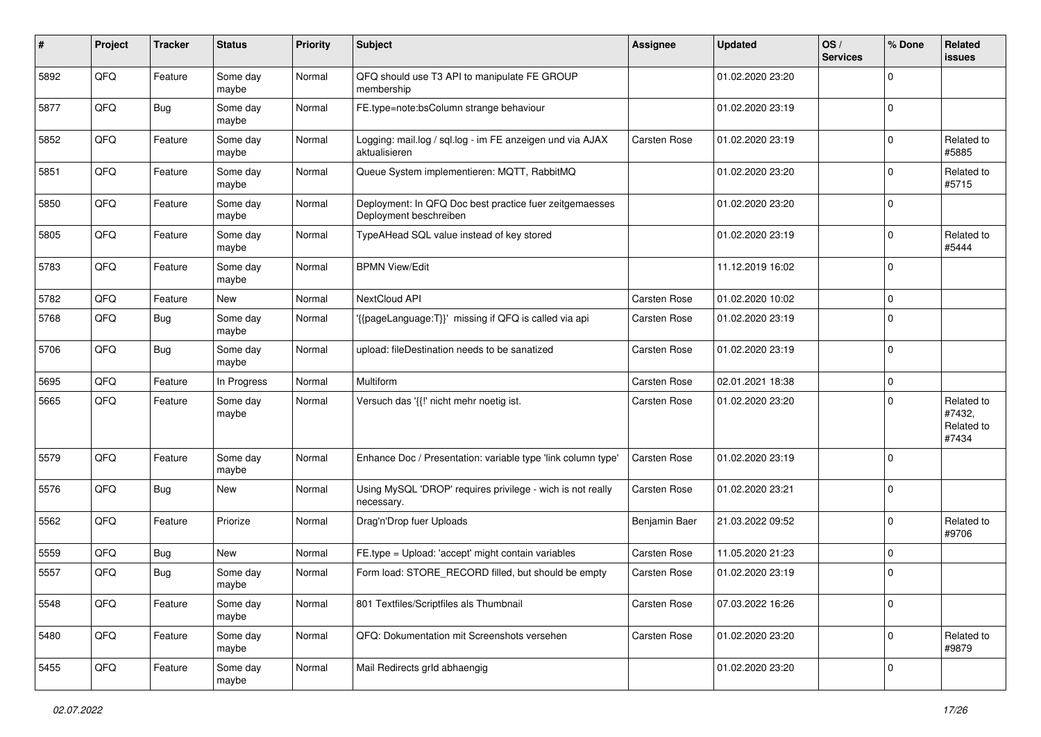| #    | Project | <b>Tracker</b> | <b>Status</b>     | <b>Priority</b> | Subject                                                                           | <b>Assignee</b>     | <b>Updated</b>   | OS/<br><b>Services</b> | % Done       | Related<br>issues                           |
|------|---------|----------------|-------------------|-----------------|-----------------------------------------------------------------------------------|---------------------|------------------|------------------------|--------------|---------------------------------------------|
| 5892 | QFQ     | Feature        | Some day<br>maybe | Normal          | QFQ should use T3 API to manipulate FE GROUP<br>membership                        |                     | 01.02.2020 23:20 |                        | <sup>0</sup> |                                             |
| 5877 | QFQ     | <b>Bug</b>     | Some day<br>maybe | Normal          | FE.type=note:bsColumn strange behaviour                                           |                     | 01.02.2020 23:19 |                        | $\mathbf 0$  |                                             |
| 5852 | QFQ     | Feature        | Some day<br>maybe | Normal          | Logging: mail.log / sql.log - im FE anzeigen und via AJAX<br>aktualisieren        | <b>Carsten Rose</b> | 01.02.2020 23:19 |                        | 0            | Related to<br>#5885                         |
| 5851 | QFQ     | Feature        | Some day<br>maybe | Normal          | Queue System implementieren: MQTT, RabbitMQ                                       |                     | 01.02.2020 23:20 |                        | $\Omega$     | Related to<br>#5715                         |
| 5850 | QFQ     | Feature        | Some day<br>maybe | Normal          | Deployment: In QFQ Doc best practice fuer zeitgemaesses<br>Deployment beschreiben |                     | 01.02.2020 23:20 |                        | $\Omega$     |                                             |
| 5805 | QFQ     | Feature        | Some day<br>maybe | Normal          | TypeAHead SQL value instead of key stored                                         |                     | 01.02.2020 23:19 |                        | $\Omega$     | Related to<br>#5444                         |
| 5783 | QFQ     | Feature        | Some day<br>maybe | Normal          | <b>BPMN View/Edit</b>                                                             |                     | 11.12.2019 16:02 |                        | $\Omega$     |                                             |
| 5782 | QFQ     | Feature        | New               | Normal          | NextCloud API                                                                     | <b>Carsten Rose</b> | 01.02.2020 10:02 |                        | $\mathbf 0$  |                                             |
| 5768 | QFQ     | <b>Bug</b>     | Some day<br>maybe | Normal          | '{{pageLanguage:T}}' missing if QFQ is called via api                             | <b>Carsten Rose</b> | 01.02.2020 23:19 |                        | $\Omega$     |                                             |
| 5706 | QFQ     | Bug            | Some day<br>maybe | Normal          | upload: fileDestination needs to be sanatized                                     | <b>Carsten Rose</b> | 01.02.2020 23:19 |                        | $\Omega$     |                                             |
| 5695 | QFQ     | Feature        | In Progress       | Normal          | Multiform                                                                         | <b>Carsten Rose</b> | 02.01.2021 18:38 |                        | $\mathbf 0$  |                                             |
| 5665 | QFQ     | Feature        | Some day<br>maybe | Normal          | Versuch das '{{!' nicht mehr noetig ist.                                          | <b>Carsten Rose</b> | 01.02.2020 23:20 |                        | $\Omega$     | Related to<br>#7432,<br>Related to<br>#7434 |
| 5579 | QFQ     | Feature        | Some day<br>maybe | Normal          | Enhance Doc / Presentation: variable type 'link column type'                      | <b>Carsten Rose</b> | 01.02.2020 23:19 |                        | $\Omega$     |                                             |
| 5576 | QFQ     | Bug            | New               | Normal          | Using MySQL 'DROP' requires privilege - wich is not really<br>necessary.          | Carsten Rose        | 01.02.2020 23:21 |                        | $\Omega$     |                                             |
| 5562 | QFQ     | Feature        | Priorize          | Normal          | Drag'n'Drop fuer Uploads                                                          | Benjamin Baer       | 21.03.2022 09:52 |                        | $\Omega$     | Related to<br>#9706                         |
| 5559 | QFQ     | Bug            | New               | Normal          | FE.type = Upload: 'accept' might contain variables                                | Carsten Rose        | 11.05.2020 21:23 |                        | $\mathbf 0$  |                                             |
| 5557 | QFQ     | <b>Bug</b>     | Some day<br>maybe | Normal          | Form load: STORE RECORD filled, but should be empty                               | <b>Carsten Rose</b> | 01.02.2020 23:19 |                        | $\Omega$     |                                             |
| 5548 | QFQ     | Feature        | Some day<br>maybe | Normal          | 801 Textfiles/Scriptfiles als Thumbnail                                           | Carsten Rose        | 07.03.2022 16:26 |                        | $\mathbf 0$  |                                             |
| 5480 | QFQ     | Feature        | Some day<br>maybe | Normal          | QFQ: Dokumentation mit Screenshots versehen                                       | Carsten Rose        | 01.02.2020 23:20 |                        | $\Omega$     | Related to<br>#9879                         |
| 5455 | QFQ     | Feature        | Some day<br>maybe | Normal          | Mail Redirects grld abhaengig                                                     |                     | 01.02.2020 23:20 |                        | 0            |                                             |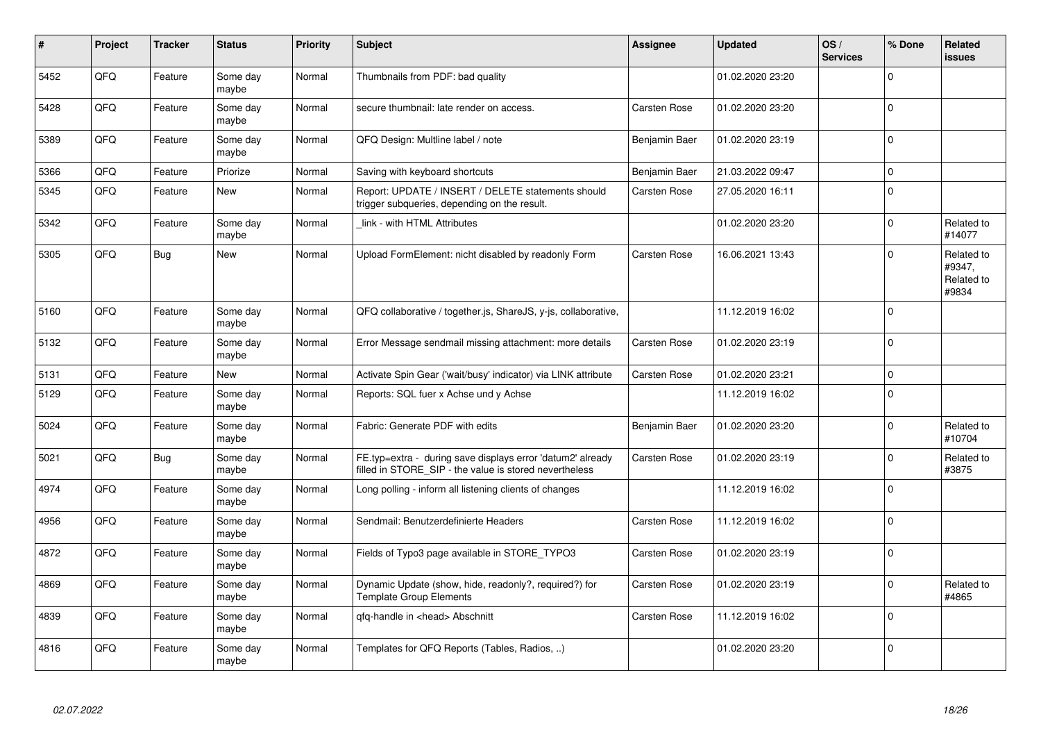| #    | Project | <b>Tracker</b> | <b>Status</b>     | <b>Priority</b> | <b>Subject</b>                                                                                                       | <b>Assignee</b>     | <b>Updated</b>   | OS/<br><b>Services</b> | % Done         | Related<br><b>issues</b>                    |
|------|---------|----------------|-------------------|-----------------|----------------------------------------------------------------------------------------------------------------------|---------------------|------------------|------------------------|----------------|---------------------------------------------|
| 5452 | QFQ     | Feature        | Some day<br>maybe | Normal          | Thumbnails from PDF: bad quality                                                                                     |                     | 01.02.2020 23:20 |                        | $\Omega$       |                                             |
| 5428 | QFQ     | Feature        | Some day<br>maybe | Normal          | secure thumbnail: late render on access.                                                                             | Carsten Rose        | 01.02.2020 23:20 |                        | $\Omega$       |                                             |
| 5389 | QFQ     | Feature        | Some day<br>maybe | Normal          | QFQ Design: Multline label / note                                                                                    | Benjamin Baer       | 01.02.2020 23:19 |                        | $\Omega$       |                                             |
| 5366 | QFQ     | Feature        | Priorize          | Normal          | Saving with keyboard shortcuts                                                                                       | Benjamin Baer       | 21.03.2022 09:47 |                        | $\Omega$       |                                             |
| 5345 | QFQ     | Feature        | <b>New</b>        | Normal          | Report: UPDATE / INSERT / DELETE statements should<br>trigger subqueries, depending on the result.                   | <b>Carsten Rose</b> | 27.05.2020 16:11 |                        | $\Omega$       |                                             |
| 5342 | QFQ     | Feature        | Some day<br>maybe | Normal          | link - with HTML Attributes                                                                                          |                     | 01.02.2020 23:20 |                        | $\Omega$       | Related to<br>#14077                        |
| 5305 | QFQ     | <b>Bug</b>     | <b>New</b>        | Normal          | Upload FormElement: nicht disabled by readonly Form                                                                  | <b>Carsten Rose</b> | 16.06.2021 13:43 |                        | $\Omega$       | Related to<br>#9347,<br>Related to<br>#9834 |
| 5160 | QFQ     | Feature        | Some day<br>maybe | Normal          | QFQ collaborative / together.js, ShareJS, y-js, collaborative,                                                       |                     | 11.12.2019 16:02 |                        | $\mathbf 0$    |                                             |
| 5132 | QFQ     | Feature        | Some day<br>maybe | Normal          | Error Message sendmail missing attachment: more details                                                              | <b>Carsten Rose</b> | 01.02.2020 23:19 |                        | $\overline{0}$ |                                             |
| 5131 | QFQ     | Feature        | New               | Normal          | Activate Spin Gear ('wait/busy' indicator) via LINK attribute                                                        | <b>Carsten Rose</b> | 01.02.2020 23:21 |                        | $\mathbf 0$    |                                             |
| 5129 | QFQ     | Feature        | Some day<br>maybe | Normal          | Reports: SQL fuer x Achse und y Achse                                                                                |                     | 11.12.2019 16:02 |                        | $\overline{0}$ |                                             |
| 5024 | QFQ     | Feature        | Some day<br>maybe | Normal          | Fabric: Generate PDF with edits                                                                                      | Benjamin Baer       | 01.02.2020 23:20 |                        | $\Omega$       | Related to<br>#10704                        |
| 5021 | QFQ     | Bug            | Some day<br>maybe | Normal          | FE.typ=extra - during save displays error 'datum2' already<br>filled in STORE SIP - the value is stored nevertheless | <b>Carsten Rose</b> | 01.02.2020 23:19 |                        | $\mathbf 0$    | Related to<br>#3875                         |
| 4974 | QFQ     | Feature        | Some day<br>maybe | Normal          | Long polling - inform all listening clients of changes                                                               |                     | 11.12.2019 16:02 |                        | $\Omega$       |                                             |
| 4956 | QFQ     | Feature        | Some day<br>maybe | Normal          | Sendmail: Benutzerdefinierte Headers                                                                                 | <b>Carsten Rose</b> | 11.12.2019 16:02 |                        | $\Omega$       |                                             |
| 4872 | QFQ     | Feature        | Some day<br>maybe | Normal          | Fields of Typo3 page available in STORE_TYPO3                                                                        | <b>Carsten Rose</b> | 01.02.2020 23:19 |                        | $\Omega$       |                                             |
| 4869 | QFQ     | Feature        | Some day<br>maybe | Normal          | Dynamic Update (show, hide, readonly?, required?) for<br><b>Template Group Elements</b>                              | <b>Carsten Rose</b> | 01.02.2020 23:19 |                        | $\Omega$       | Related to<br>#4865                         |
| 4839 | QFQ     | Feature        | Some day<br>maybe | Normal          | qfq-handle in <head> Abschnitt</head>                                                                                | <b>Carsten Rose</b> | 11.12.2019 16:02 |                        | $\Omega$       |                                             |
| 4816 | QFQ     | Feature        | Some day<br>maybe | Normal          | Templates for QFQ Reports (Tables, Radios, )                                                                         |                     | 01.02.2020 23:20 |                        | $\Omega$       |                                             |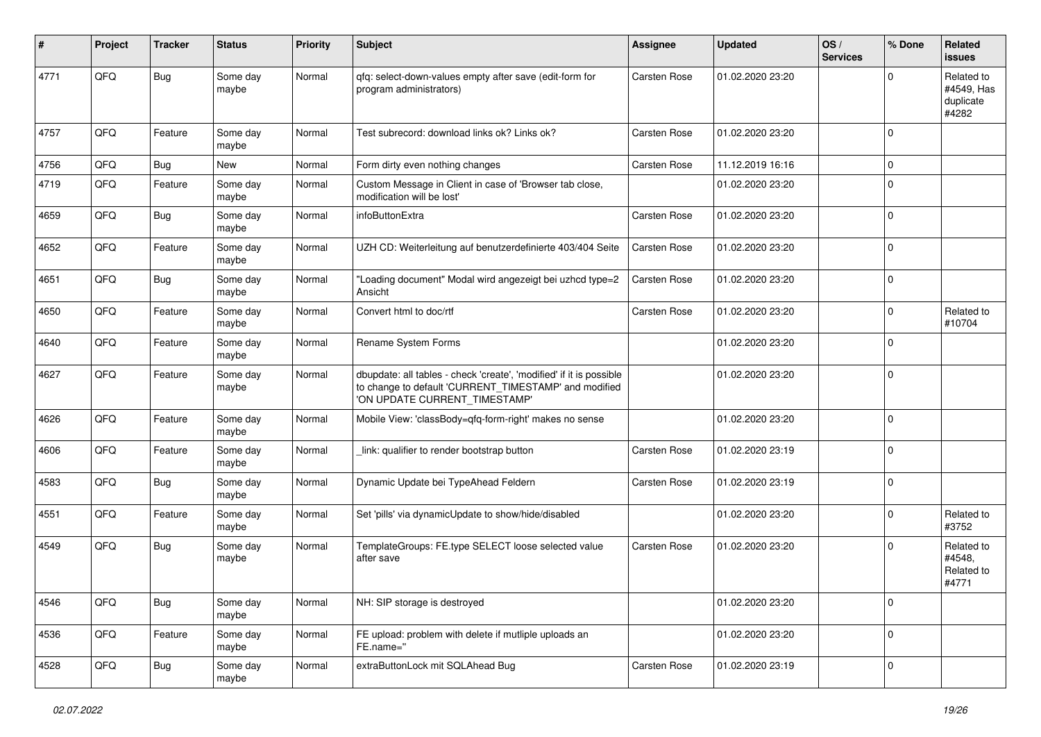| #    | Project | <b>Tracker</b> | <b>Status</b>     | <b>Priority</b> | <b>Subject</b>                                                                                                                                                | <b>Assignee</b>     | <b>Updated</b>   | OS/<br><b>Services</b> | % Done      | Related<br>issues                              |
|------|---------|----------------|-------------------|-----------------|---------------------------------------------------------------------------------------------------------------------------------------------------------------|---------------------|------------------|------------------------|-------------|------------------------------------------------|
| 4771 | QFQ     | <b>Bug</b>     | Some day<br>maybe | Normal          | qfq: select-down-values empty after save (edit-form for<br>program administrators)                                                                            | <b>Carsten Rose</b> | 01.02.2020 23:20 |                        | $\Omega$    | Related to<br>#4549, Has<br>duplicate<br>#4282 |
| 4757 | QFQ     | Feature        | Some day<br>maybe | Normal          | Test subrecord: download links ok? Links ok?                                                                                                                  | <b>Carsten Rose</b> | 01.02.2020 23:20 |                        | $\mathbf 0$ |                                                |
| 4756 | QFQ     | <b>Bug</b>     | New               | Normal          | Form dirty even nothing changes                                                                                                                               | <b>Carsten Rose</b> | 11.12.2019 16:16 |                        | 0           |                                                |
| 4719 | QFQ     | Feature        | Some day<br>maybe | Normal          | Custom Message in Client in case of 'Browser tab close,<br>modification will be lost'                                                                         |                     | 01.02.2020 23:20 |                        | 0           |                                                |
| 4659 | QFQ     | Bug            | Some day<br>maybe | Normal          | infoButtonExtra                                                                                                                                               | <b>Carsten Rose</b> | 01.02.2020 23:20 |                        | $\mathbf 0$ |                                                |
| 4652 | QFQ     | Feature        | Some day<br>maybe | Normal          | UZH CD: Weiterleitung auf benutzerdefinierte 403/404 Seite                                                                                                    | <b>Carsten Rose</b> | 01.02.2020 23:20 |                        | 0           |                                                |
| 4651 | QFQ     | <b>Bug</b>     | Some day<br>maybe | Normal          | "Loading document" Modal wird angezeigt bei uzhcd type=2<br>Ansicht                                                                                           | Carsten Rose        | 01.02.2020 23:20 |                        | 0           |                                                |
| 4650 | QFQ     | Feature        | Some day<br>maybe | Normal          | Convert html to doc/rtf                                                                                                                                       | <b>Carsten Rose</b> | 01.02.2020 23:20 |                        | $\mathbf 0$ | Related to<br>#10704                           |
| 4640 | QFQ     | Feature        | Some day<br>maybe | Normal          | Rename System Forms                                                                                                                                           |                     | 01.02.2020 23:20 |                        | $\mathbf 0$ |                                                |
| 4627 | QFQ     | Feature        | Some day<br>maybe | Normal          | dbupdate: all tables - check 'create', 'modified' if it is possible<br>to change to default 'CURRENT_TIMESTAMP' and modified<br>'ON UPDATE CURRENT_TIMESTAMP' |                     | 01.02.2020 23:20 |                        | $\mathbf 0$ |                                                |
| 4626 | QFQ     | Feature        | Some day<br>maybe | Normal          | Mobile View: 'classBody=qfq-form-right' makes no sense                                                                                                        |                     | 01.02.2020 23:20 |                        | $\mathbf 0$ |                                                |
| 4606 | QFQ     | Feature        | Some day<br>maybe | Normal          | link: qualifier to render bootstrap button                                                                                                                    | <b>Carsten Rose</b> | 01.02.2020 23:19 |                        | $\mathbf 0$ |                                                |
| 4583 | QFQ     | <b>Bug</b>     | Some day<br>maybe | Normal          | Dynamic Update bei TypeAhead Feldern                                                                                                                          | Carsten Rose        | 01.02.2020 23:19 |                        | $\mathbf 0$ |                                                |
| 4551 | QFQ     | Feature        | Some day<br>maybe | Normal          | Set 'pills' via dynamicUpdate to show/hide/disabled                                                                                                           |                     | 01.02.2020 23:20 |                        | 0           | Related to<br>#3752                            |
| 4549 | QFQ     | Bug            | Some day<br>maybe | Normal          | TemplateGroups: FE.type SELECT loose selected value<br>after save                                                                                             | <b>Carsten Rose</b> | 01.02.2020 23:20 |                        | $\mathbf 0$ | Related to<br>#4548,<br>Related to<br>#4771    |
| 4546 | QFG     | Bug            | Some day<br>maybe | Normal          | NH: SIP storage is destroyed                                                                                                                                  |                     | 01.02.2020 23:20 |                        | $\mathbf 0$ |                                                |
| 4536 | QFG     | Feature        | Some day<br>maybe | Normal          | FE upload: problem with delete if mutliple uploads an<br>FE.name="                                                                                            |                     | 01.02.2020 23:20 |                        | 0           |                                                |
| 4528 | QFQ     | <b>Bug</b>     | Some day<br>maybe | Normal          | extraButtonLock mit SQLAhead Bug                                                                                                                              | Carsten Rose        | 01.02.2020 23:19 |                        | 0           |                                                |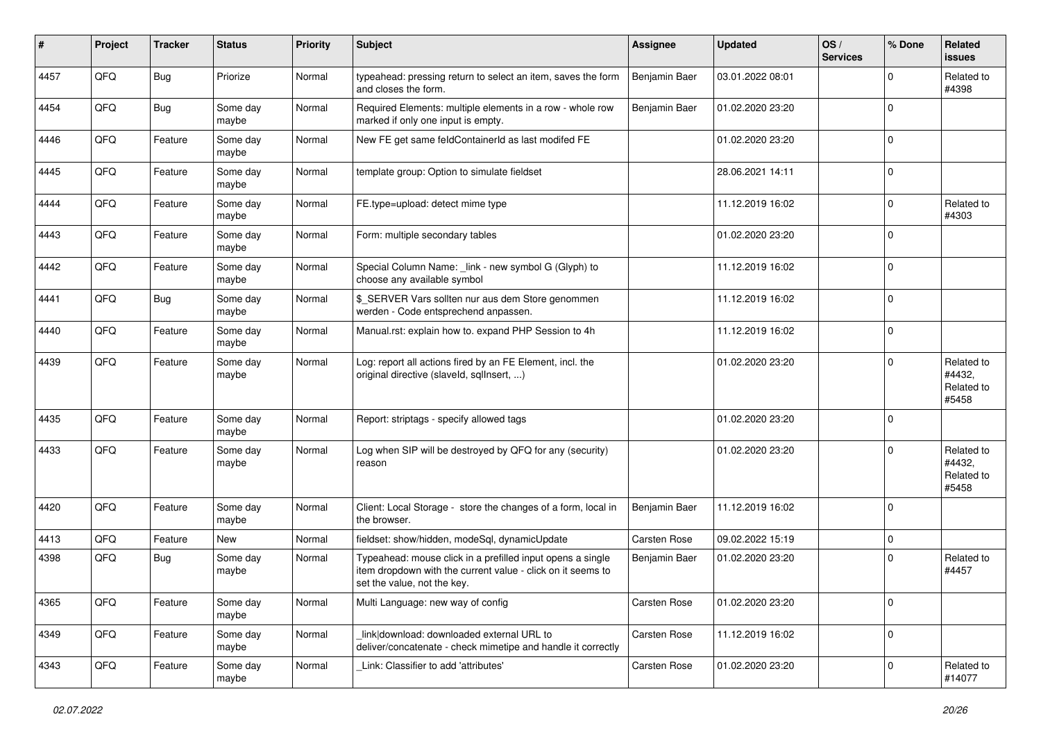| $\vert$ # | Project | <b>Tracker</b> | <b>Status</b>     | <b>Priority</b> | <b>Subject</b>                                                                                                                                           | <b>Assignee</b>     | <b>Updated</b>   | OS/<br><b>Services</b> | % Done      | Related<br>issues                           |
|-----------|---------|----------------|-------------------|-----------------|----------------------------------------------------------------------------------------------------------------------------------------------------------|---------------------|------------------|------------------------|-------------|---------------------------------------------|
| 4457      | QFQ     | Bug            | Priorize          | Normal          | typeahead: pressing return to select an item, saves the form<br>and closes the form.                                                                     | Benjamin Baer       | 03.01.2022 08:01 |                        | $\Omega$    | Related to<br>#4398                         |
| 4454      | QFQ     | <b>Bug</b>     | Some day<br>maybe | Normal          | Required Elements: multiple elements in a row - whole row<br>marked if only one input is empty.                                                          | Benjamin Baer       | 01.02.2020 23:20 |                        | $\Omega$    |                                             |
| 4446      | QFQ     | Feature        | Some day<br>maybe | Normal          | New FE get same feldContainerId as last modifed FE                                                                                                       |                     | 01.02.2020 23:20 |                        | $\Omega$    |                                             |
| 4445      | QFQ     | Feature        | Some day<br>maybe | Normal          | template group: Option to simulate fieldset                                                                                                              |                     | 28.06.2021 14:11 |                        | $\mathbf 0$ |                                             |
| 4444      | QFQ     | Feature        | Some day<br>maybe | Normal          | FE.type=upload: detect mime type                                                                                                                         |                     | 11.12.2019 16:02 |                        | $\mathbf 0$ | Related to<br>#4303                         |
| 4443      | QFQ     | Feature        | Some day<br>maybe | Normal          | Form: multiple secondary tables                                                                                                                          |                     | 01.02.2020 23:20 |                        | $\Omega$    |                                             |
| 4442      | QFQ     | Feature        | Some day<br>maybe | Normal          | Special Column Name: _link - new symbol G (Glyph) to<br>choose any available symbol                                                                      |                     | 11.12.2019 16:02 |                        | $\Omega$    |                                             |
| 4441      | QFQ     | <b>Bug</b>     | Some day<br>maybe | Normal          | \$_SERVER Vars sollten nur aus dem Store genommen<br>werden - Code entsprechend anpassen.                                                                |                     | 11.12.2019 16:02 |                        | $\mathbf 0$ |                                             |
| 4440      | QFQ     | Feature        | Some day<br>maybe | Normal          | Manual.rst: explain how to. expand PHP Session to 4h                                                                                                     |                     | 11.12.2019 16:02 |                        | 0           |                                             |
| 4439      | QFQ     | Feature        | Some day<br>maybe | Normal          | Log: report all actions fired by an FE Element, incl. the<br>original directive (slaveld, sqllnsert, )                                                   |                     | 01.02.2020 23:20 |                        | $\Omega$    | Related to<br>#4432,<br>Related to<br>#5458 |
| 4435      | QFQ     | Feature        | Some day<br>maybe | Normal          | Report: striptags - specify allowed tags                                                                                                                 |                     | 01.02.2020 23:20 |                        | 0           |                                             |
| 4433      | QFQ     | Feature        | Some day<br>maybe | Normal          | Log when SIP will be destroyed by QFQ for any (security)<br>reason                                                                                       |                     | 01.02.2020 23:20 |                        | $\Omega$    | Related to<br>#4432,<br>Related to<br>#5458 |
| 4420      | QFQ     | Feature        | Some day<br>maybe | Normal          | Client: Local Storage - store the changes of a form, local in<br>the browser.                                                                            | Benjamin Baer       | 11.12.2019 16:02 |                        | 0           |                                             |
| 4413      | QFQ     | Feature        | New               | Normal          | fieldset: show/hidden, modeSql, dynamicUpdate                                                                                                            | Carsten Rose        | 09.02.2022 15:19 |                        | 0           |                                             |
| 4398      | QFQ     | Bug            | Some day<br>maybe | Normal          | Typeahead: mouse click in a prefilled input opens a single<br>item dropdown with the current value - click on it seems to<br>set the value, not the key. | Benjamin Baer       | 01.02.2020 23:20 |                        | $\Omega$    | Related to<br>#4457                         |
| 4365      | QFQ     | Feature        | Some day<br>maybe | Normal          | Multi Language: new way of config                                                                                                                        | <b>Carsten Rose</b> | 01.02.2020 23:20 |                        | l 0         |                                             |
| 4349      | QFQ     | Feature        | Some day<br>maybe | Normal          | link download: downloaded external URL to<br>deliver/concatenate - check mimetipe and handle it correctly                                                | Carsten Rose        | 11.12.2019 16:02 |                        | 0           |                                             |
| 4343      | QFQ     | Feature        | Some day<br>maybe | Normal          | Link: Classifier to add 'attributes'                                                                                                                     | Carsten Rose        | 01.02.2020 23:20 |                        | $\mathbf 0$ | Related to<br>#14077                        |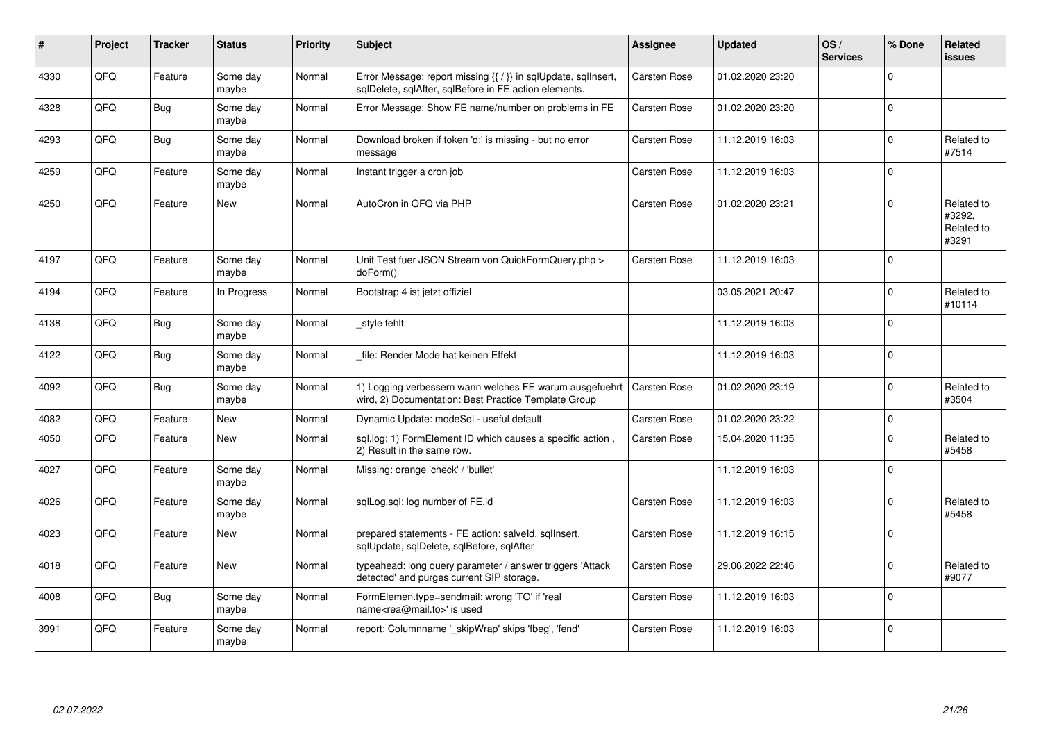| #    | Project | <b>Tracker</b> | <b>Status</b>     | <b>Priority</b> | <b>Subject</b>                                                                                                          | <b>Assignee</b>     | <b>Updated</b>   | OS/<br><b>Services</b> | % Done         | Related<br><b>issues</b>                    |
|------|---------|----------------|-------------------|-----------------|-------------------------------------------------------------------------------------------------------------------------|---------------------|------------------|------------------------|----------------|---------------------------------------------|
| 4330 | QFQ     | Feature        | Some day<br>maybe | Normal          | Error Message: report missing {{ / }} in sqlUpdate, sqlInsert,<br>sqlDelete, sqlAfter, sqlBefore in FE action elements. | Carsten Rose        | 01.02.2020 23:20 |                        | $\Omega$       |                                             |
| 4328 | QFQ     | Bug            | Some day<br>maybe | Normal          | Error Message: Show FE name/number on problems in FE                                                                    | Carsten Rose        | 01.02.2020 23:20 |                        | $\Omega$       |                                             |
| 4293 | QFQ     | <b>Bug</b>     | Some day<br>maybe | Normal          | Download broken if token 'd:' is missing - but no error<br>message                                                      | <b>Carsten Rose</b> | 11.12.2019 16:03 |                        | $\Omega$       | Related to<br>#7514                         |
| 4259 | QFQ     | Feature        | Some day<br>maybe | Normal          | Instant trigger a cron job                                                                                              | Carsten Rose        | 11.12.2019 16:03 |                        | $\Omega$       |                                             |
| 4250 | QFQ     | Feature        | New               | Normal          | AutoCron in QFQ via PHP                                                                                                 | <b>Carsten Rose</b> | 01.02.2020 23:21 |                        | $\Omega$       | Related to<br>#3292,<br>Related to<br>#3291 |
| 4197 | QFQ     | Feature        | Some day<br>maybe | Normal          | Unit Test fuer JSON Stream von QuickFormQuery.php ><br>doForm()                                                         | <b>Carsten Rose</b> | 11.12.2019 16:03 |                        | $\overline{0}$ |                                             |
| 4194 | QFQ     | Feature        | In Progress       | Normal          | Bootstrap 4 ist jetzt offiziel                                                                                          |                     | 03.05.2021 20:47 |                        | $\Omega$       | Related to<br>#10114                        |
| 4138 | QFQ     | Bug            | Some day<br>maybe | Normal          | style fehlt                                                                                                             |                     | 11.12.2019 16:03 |                        | $\Omega$       |                                             |
| 4122 | QFQ     | Bug            | Some day<br>maybe | Normal          | file: Render Mode hat keinen Effekt                                                                                     |                     | 11.12.2019 16:03 |                        | $\Omega$       |                                             |
| 4092 | QFQ     | Bug            | Some day<br>maybe | Normal          | 1) Logging verbessern wann welches FE warum ausgefuehrt<br>wird, 2) Documentation: Best Practice Template Group         | <b>Carsten Rose</b> | 01.02.2020 23:19 |                        | $\Omega$       | Related to<br>#3504                         |
| 4082 | QFQ     | Feature        | <b>New</b>        | Normal          | Dynamic Update: modeSql - useful default                                                                                | <b>Carsten Rose</b> | 01.02.2020 23:22 |                        | $\mathbf 0$    |                                             |
| 4050 | QFQ     | Feature        | <b>New</b>        | Normal          | sql.log: 1) FormElement ID which causes a specific action,<br>2) Result in the same row.                                | <b>Carsten Rose</b> | 15.04.2020 11:35 |                        | $\Omega$       | Related to<br>#5458                         |
| 4027 | QFQ     | Feature        | Some day<br>maybe | Normal          | Missing: orange 'check' / 'bullet'                                                                                      |                     | 11.12.2019 16:03 |                        | $\overline{0}$ |                                             |
| 4026 | QFQ     | Feature        | Some day<br>maybe | Normal          | sqlLog.sql: log number of FE.id                                                                                         | Carsten Rose        | 11.12.2019 16:03 |                        | $\Omega$       | Related to<br>#5458                         |
| 4023 | QFQ     | Feature        | New               | Normal          | prepared statements - FE action: salveld, sqllnsert,<br>sqlUpdate, sqlDelete, sqlBefore, sqlAfter                       | <b>Carsten Rose</b> | 11.12.2019 16:15 |                        | $\mathbf 0$    |                                             |
| 4018 | QFQ     | Feature        | <b>New</b>        | Normal          | typeahead: long query parameter / answer triggers 'Attack<br>detected' and purges current SIP storage.                  | <b>Carsten Rose</b> | 29.06.2022 22:46 |                        | $\Omega$       | Related to<br>#9077                         |
| 4008 | QFQ     | Bug            | Some day<br>maybe | Normal          | FormElemen.type=sendmail: wrong 'TO' if 'real<br>name <rea@mail.to>' is used</rea@mail.to>                              | Carsten Rose        | 11.12.2019 16:03 |                        | $\Omega$       |                                             |
| 3991 | QFQ     | Feature        | Some day<br>maybe | Normal          | report: Columnname ' skipWrap' skips 'fbeg', 'fend'                                                                     | Carsten Rose        | 11.12.2019 16:03 |                        | $\Omega$       |                                             |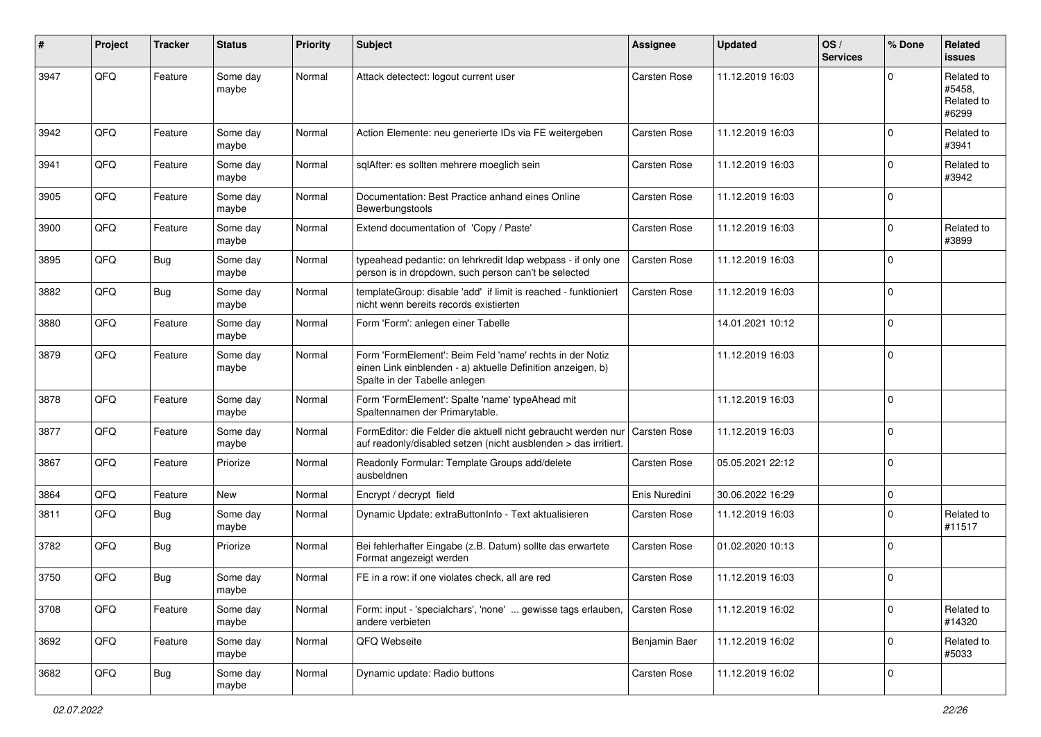| #    | Project | <b>Tracker</b> | <b>Status</b>     | <b>Priority</b> | <b>Subject</b>                                                                                                                                           | Assignee            | <b>Updated</b>   | OS/<br><b>Services</b> | % Done      | <b>Related</b><br><b>issues</b>             |
|------|---------|----------------|-------------------|-----------------|----------------------------------------------------------------------------------------------------------------------------------------------------------|---------------------|------------------|------------------------|-------------|---------------------------------------------|
| 3947 | QFQ     | Feature        | Some day<br>maybe | Normal          | Attack detectect: logout current user                                                                                                                    | Carsten Rose        | 11.12.2019 16:03 |                        | $\mathbf 0$ | Related to<br>#5458.<br>Related to<br>#6299 |
| 3942 | QFQ     | Feature        | Some day<br>maybe | Normal          | Action Elemente: neu generierte IDs via FE weitergeben                                                                                                   | Carsten Rose        | 11.12.2019 16:03 |                        | $\Omega$    | Related to<br>#3941                         |
| 3941 | QFQ     | Feature        | Some day<br>maybe | Normal          | sqlAfter: es sollten mehrere moeglich sein                                                                                                               | Carsten Rose        | 11.12.2019 16:03 |                        | $\mathbf 0$ | Related to<br>#3942                         |
| 3905 | QFQ     | Feature        | Some day<br>maybe | Normal          | Documentation: Best Practice anhand eines Online<br>Bewerbungstools                                                                                      | Carsten Rose        | 11.12.2019 16:03 |                        | $\mathbf 0$ |                                             |
| 3900 | QFQ     | Feature        | Some day<br>maybe | Normal          | Extend documentation of 'Copy / Paste'                                                                                                                   | Carsten Rose        | 11.12.2019 16:03 |                        | $\mathbf 0$ | Related to<br>#3899                         |
| 3895 | QFQ     | Bug            | Some day<br>maybe | Normal          | typeahead pedantic: on lehrkredit Idap webpass - if only one<br>person is in dropdown, such person can't be selected                                     | Carsten Rose        | 11.12.2019 16:03 |                        | $\mathbf 0$ |                                             |
| 3882 | QFQ     | <b>Bug</b>     | Some day<br>maybe | Normal          | templateGroup: disable 'add' if limit is reached - funktioniert<br>nicht wenn bereits records existierten                                                | Carsten Rose        | 11.12.2019 16:03 |                        | $\mathbf 0$ |                                             |
| 3880 | QFQ     | Feature        | Some day<br>maybe | Normal          | Form 'Form': anlegen einer Tabelle                                                                                                                       |                     | 14.01.2021 10:12 |                        | $\mathbf 0$ |                                             |
| 3879 | QFQ     | Feature        | Some day<br>maybe | Normal          | Form 'FormElement': Beim Feld 'name' rechts in der Notiz<br>einen Link einblenden - a) aktuelle Definition anzeigen, b)<br>Spalte in der Tabelle anlegen |                     | 11.12.2019 16:03 |                        | $\mathbf 0$ |                                             |
| 3878 | QFQ     | Feature        | Some day<br>maybe | Normal          | Form 'FormElement': Spalte 'name' typeAhead mit<br>Spaltennamen der Primarytable.                                                                        |                     | 11.12.2019 16:03 |                        | $\mathbf 0$ |                                             |
| 3877 | QFQ     | Feature        | Some day<br>maybe | Normal          | FormEditor: die Felder die aktuell nicht gebraucht werden nur<br>auf readonly/disabled setzen (nicht ausblenden > das irritiert.                         | <b>Carsten Rose</b> | 11.12.2019 16:03 |                        | $\mathbf 0$ |                                             |
| 3867 | QFQ     | Feature        | Priorize          | Normal          | Readonly Formular: Template Groups add/delete<br>ausbeldnen                                                                                              | Carsten Rose        | 05.05.2021 22:12 |                        | $\mathbf 0$ |                                             |
| 3864 | QFQ     | Feature        | New               | Normal          | Encrypt / decrypt field                                                                                                                                  | Enis Nuredini       | 30.06.2022 16:29 |                        | $\mathbf 0$ |                                             |
| 3811 | QFQ     | Bug            | Some day<br>maybe | Normal          | Dynamic Update: extraButtonInfo - Text aktualisieren                                                                                                     | Carsten Rose        | 11.12.2019 16:03 |                        | $\mathbf 0$ | Related to<br>#11517                        |
| 3782 | QFQ     | Bug            | Priorize          | Normal          | Bei fehlerhafter Eingabe (z.B. Datum) sollte das erwartete<br>Format angezeigt werden                                                                    | Carsten Rose        | 01.02.2020 10:13 |                        | $\mathbf 0$ |                                             |
| 3750 | QFQ     | Bug            | Some day<br>maybe | Normal          | FE in a row: if one violates check, all are red                                                                                                          | Carsten Rose        | 11.12.2019 16:03 |                        | $\mathbf 0$ |                                             |
| 3708 | QFQ     | Feature        | Some day<br>maybe | Normal          | Form: input - 'specialchars', 'none'  gewisse tags erlauben,<br>andere verbieten                                                                         | <b>Carsten Rose</b> | 11.12.2019 16:02 |                        | $\mathbf 0$ | Related to<br>#14320                        |
| 3692 | QFQ     | Feature        | Some day<br>maybe | Normal          | QFQ Webseite                                                                                                                                             | Benjamin Baer       | 11.12.2019 16:02 |                        | $\mathbf 0$ | Related to<br>#5033                         |
| 3682 | QFQ     | <b>Bug</b>     | Some day<br>maybe | Normal          | Dynamic update: Radio buttons                                                                                                                            | Carsten Rose        | 11.12.2019 16:02 |                        | $\mathsf 0$ |                                             |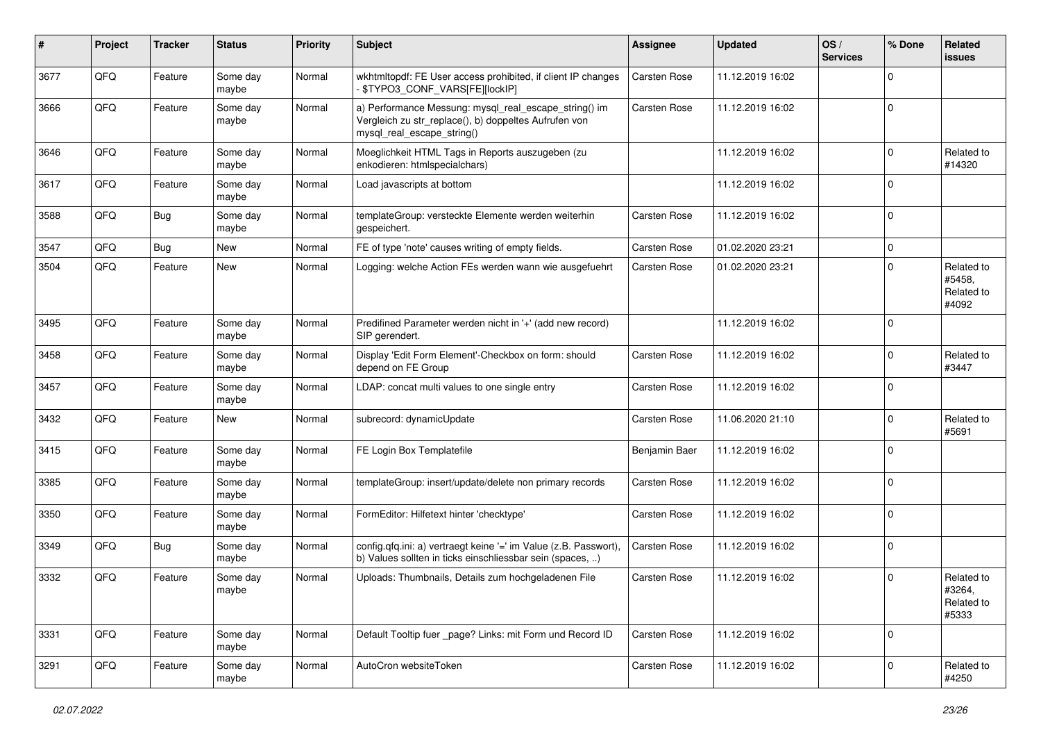| #    | Project | <b>Tracker</b> | <b>Status</b>     | <b>Priority</b> | <b>Subject</b>                                                                                                                               | <b>Assignee</b>     | <b>Updated</b>   | OS/<br><b>Services</b> | % Done      | Related<br>issues                           |
|------|---------|----------------|-------------------|-----------------|----------------------------------------------------------------------------------------------------------------------------------------------|---------------------|------------------|------------------------|-------------|---------------------------------------------|
| 3677 | QFQ     | Feature        | Some day<br>maybe | Normal          | wkhtmltopdf: FE User access prohibited, if client IP changes<br>\$TYPO3_CONF_VARS[FE][lockIP]                                                | Carsten Rose        | 11.12.2019 16:02 |                        | 0           |                                             |
| 3666 | QFQ     | Feature        | Some day<br>maybe | Normal          | a) Performance Messung: mysql_real_escape_string() im<br>Vergleich zu str_replace(), b) doppeltes Aufrufen von<br>mysql_real_escape_string() | <b>Carsten Rose</b> | 11.12.2019 16:02 |                        | $\mathbf 0$ |                                             |
| 3646 | QFQ     | Feature        | Some day<br>maybe | Normal          | Moeglichkeit HTML Tags in Reports auszugeben (zu<br>enkodieren: htmlspecialchars)                                                            |                     | 11.12.2019 16:02 |                        | $\Omega$    | Related to<br>#14320                        |
| 3617 | QFQ     | Feature        | Some day<br>maybe | Normal          | Load javascripts at bottom                                                                                                                   |                     | 11.12.2019 16:02 |                        | 0           |                                             |
| 3588 | QFQ     | <b>Bug</b>     | Some day<br>maybe | Normal          | templateGroup: versteckte Elemente werden weiterhin<br>gespeichert.                                                                          | <b>Carsten Rose</b> | 11.12.2019 16:02 |                        | $\mathbf 0$ |                                             |
| 3547 | QFQ     | <b>Bug</b>     | <b>New</b>        | Normal          | FE of type 'note' causes writing of empty fields.                                                                                            | <b>Carsten Rose</b> | 01.02.2020 23:21 |                        | $\Omega$    |                                             |
| 3504 | QFQ     | Feature        | <b>New</b>        | Normal          | Logging: welche Action FEs werden wann wie ausgefuehrt                                                                                       | <b>Carsten Rose</b> | 01.02.2020 23:21 |                        | $\Omega$    | Related to<br>#5458,<br>Related to<br>#4092 |
| 3495 | QFQ     | Feature        | Some day<br>maybe | Normal          | Predifined Parameter werden nicht in '+' (add new record)<br>SIP gerendert.                                                                  |                     | 11.12.2019 16:02 |                        | $\Omega$    |                                             |
| 3458 | QFQ     | Feature        | Some day<br>maybe | Normal          | Display 'Edit Form Element'-Checkbox on form: should<br>depend on FE Group                                                                   | <b>Carsten Rose</b> | 11.12.2019 16:02 |                        | 0           | Related to<br>#3447                         |
| 3457 | QFQ     | Feature        | Some day<br>maybe | Normal          | LDAP: concat multi values to one single entry                                                                                                | <b>Carsten Rose</b> | 11.12.2019 16:02 |                        | $\mathbf 0$ |                                             |
| 3432 | QFQ     | Feature        | <b>New</b>        | Normal          | subrecord: dynamicUpdate                                                                                                                     | <b>Carsten Rose</b> | 11.06.2020 21:10 |                        | $\Omega$    | Related to<br>#5691                         |
| 3415 | QFQ     | Feature        | Some day<br>maybe | Normal          | FE Login Box Templatefile                                                                                                                    | Benjamin Baer       | 11.12.2019 16:02 |                        | 0           |                                             |
| 3385 | QFQ     | Feature        | Some day<br>maybe | Normal          | templateGroup: insert/update/delete non primary records                                                                                      | <b>Carsten Rose</b> | 11.12.2019 16:02 |                        | $\Omega$    |                                             |
| 3350 | QFQ     | Feature        | Some day<br>maybe | Normal          | FormEditor: Hilfetext hinter 'checktype'                                                                                                     | <b>Carsten Rose</b> | 11.12.2019 16:02 |                        | 0           |                                             |
| 3349 | QFQ     | Bug            | Some day<br>maybe | Normal          | config.qfq.ini: a) vertraegt keine '=' im Value (z.B. Passwort),<br>b) Values sollten in ticks einschliessbar sein (spaces, )                | <b>Carsten Rose</b> | 11.12.2019 16:02 |                        | $\mathbf 0$ |                                             |
| 3332 | QFQ     | Feature        | Some day<br>maybe | Normal          | Uploads: Thumbnails, Details zum hochgeladenen File                                                                                          | <b>Carsten Rose</b> | 11.12.2019 16:02 |                        | 0           | Related to<br>#3264,<br>Related to<br>#5333 |
| 3331 | QFQ     | Feature        | Some day<br>maybe | Normal          | Default Tooltip fuer _page? Links: mit Form und Record ID                                                                                    | <b>Carsten Rose</b> | 11.12.2019 16:02 |                        | $\mathbf 0$ |                                             |
| 3291 | QFQ     | Feature        | Some day<br>maybe | Normal          | AutoCron websiteToken                                                                                                                        | Carsten Rose        | 11.12.2019 16:02 |                        | 0           | Related to<br>#4250                         |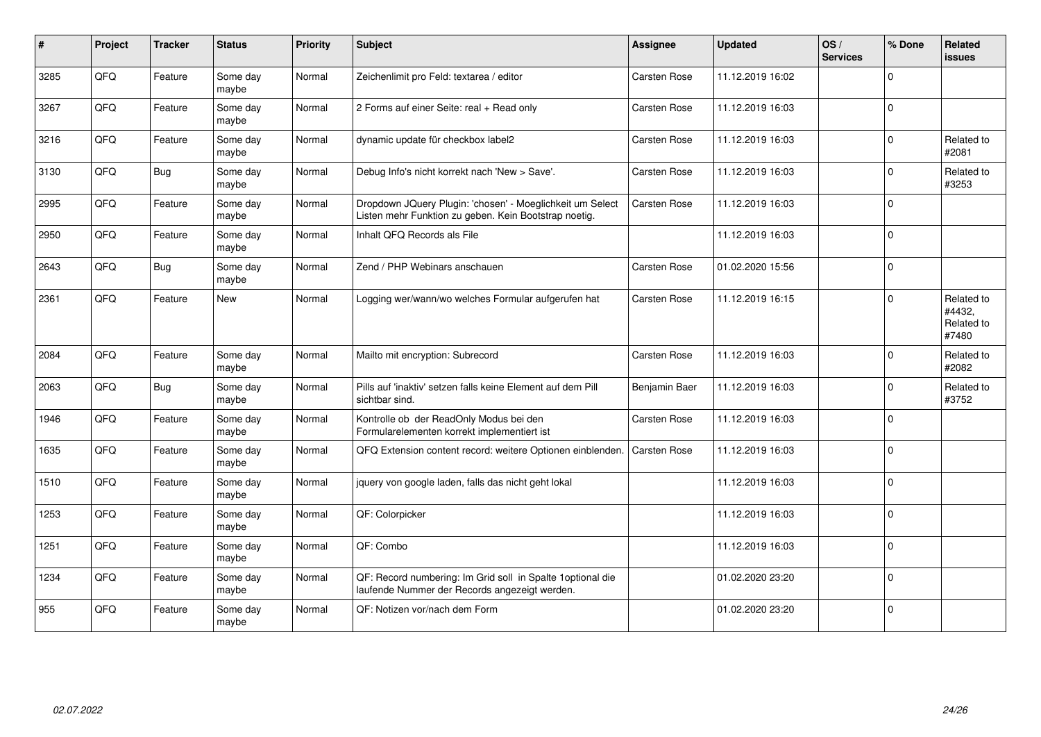| $\pmb{\#}$ | Project | <b>Tracker</b> | <b>Status</b>     | <b>Priority</b> | Subject                                                                                                            | Assignee            | <b>Updated</b>   | OS/<br><b>Services</b> | % Done   | Related<br><b>issues</b>                    |
|------------|---------|----------------|-------------------|-----------------|--------------------------------------------------------------------------------------------------------------------|---------------------|------------------|------------------------|----------|---------------------------------------------|
| 3285       | QFQ     | Feature        | Some day<br>maybe | Normal          | Zeichenlimit pro Feld: textarea / editor                                                                           | <b>Carsten Rose</b> | 11.12.2019 16:02 |                        | 0        |                                             |
| 3267       | QFQ     | Feature        | Some day<br>maybe | Normal          | 2 Forms auf einer Seite: real + Read only                                                                          | <b>Carsten Rose</b> | 11.12.2019 16:03 |                        | $\Omega$ |                                             |
| 3216       | QFQ     | Feature        | Some day<br>maybe | Normal          | dynamic update für checkbox label2                                                                                 | Carsten Rose        | 11.12.2019 16:03 |                        | $\Omega$ | Related to<br>#2081                         |
| 3130       | QFQ     | <b>Bug</b>     | Some day<br>maybe | Normal          | Debug Info's nicht korrekt nach 'New > Save'.                                                                      | <b>Carsten Rose</b> | 11.12.2019 16:03 |                        | $\Omega$ | Related to<br>#3253                         |
| 2995       | QFQ     | Feature        | Some day<br>maybe | Normal          | Dropdown JQuery Plugin: 'chosen' - Moeglichkeit um Select<br>Listen mehr Funktion zu geben. Kein Bootstrap noetig. | <b>Carsten Rose</b> | 11.12.2019 16:03 |                        | $\Omega$ |                                             |
| 2950       | QFQ     | Feature        | Some day<br>maybe | Normal          | Inhalt QFQ Records als File                                                                                        |                     | 11.12.2019 16:03 |                        | $\Omega$ |                                             |
| 2643       | QFQ     | <b>Bug</b>     | Some day<br>maybe | Normal          | Zend / PHP Webinars anschauen                                                                                      | <b>Carsten Rose</b> | 01.02.2020 15:56 |                        | $\Omega$ |                                             |
| 2361       | QFQ     | Feature        | New               | Normal          | Logging wer/wann/wo welches Formular aufgerufen hat                                                                | <b>Carsten Rose</b> | 11.12.2019 16:15 |                        | $\Omega$ | Related to<br>#4432,<br>Related to<br>#7480 |
| 2084       | QFQ     | Feature        | Some day<br>maybe | Normal          | Mailto mit encryption: Subrecord                                                                                   | <b>Carsten Rose</b> | 11.12.2019 16:03 |                        | $\Omega$ | Related to<br>#2082                         |
| 2063       | QFQ     | <b>Bug</b>     | Some day<br>maybe | Normal          | Pills auf 'inaktiv' setzen falls keine Element auf dem Pill<br>sichtbar sind.                                      | Benjamin Baer       | 11.12.2019 16:03 |                        | $\Omega$ | Related to<br>#3752                         |
| 1946       | QFQ     | Feature        | Some day<br>maybe | Normal          | Kontrolle ob der ReadOnly Modus bei den<br>Formularelementen korrekt implementiert ist                             | <b>Carsten Rose</b> | 11.12.2019 16:03 |                        | $\Omega$ |                                             |
| 1635       | QFQ     | Feature        | Some day<br>maybe | Normal          | QFQ Extension content record: weitere Optionen einblenden.                                                         | <b>Carsten Rose</b> | 11.12.2019 16:03 |                        | $\Omega$ |                                             |
| 1510       | QFQ     | Feature        | Some day<br>maybe | Normal          | jquery von google laden, falls das nicht geht lokal                                                                |                     | 11.12.2019 16:03 |                        | $\Omega$ |                                             |
| 1253       | QFQ     | Feature        | Some day<br>maybe | Normal          | QF: Colorpicker                                                                                                    |                     | 11.12.2019 16:03 |                        | $\Omega$ |                                             |
| 1251       | QFQ     | Feature        | Some day<br>maybe | Normal          | QF: Combo                                                                                                          |                     | 11.12.2019 16:03 |                        | $\Omega$ |                                             |
| 1234       | QFQ     | Feature        | Some day<br>maybe | Normal          | QF: Record numbering: Im Grid soll in Spalte 1 optional die<br>laufende Nummer der Records angezeigt werden.       |                     | 01.02.2020 23:20 |                        | $\Omega$ |                                             |
| 955        | QFQ     | Feature        | Some day<br>maybe | Normal          | QF: Notizen vor/nach dem Form                                                                                      |                     | 01.02.2020 23:20 |                        | $\Omega$ |                                             |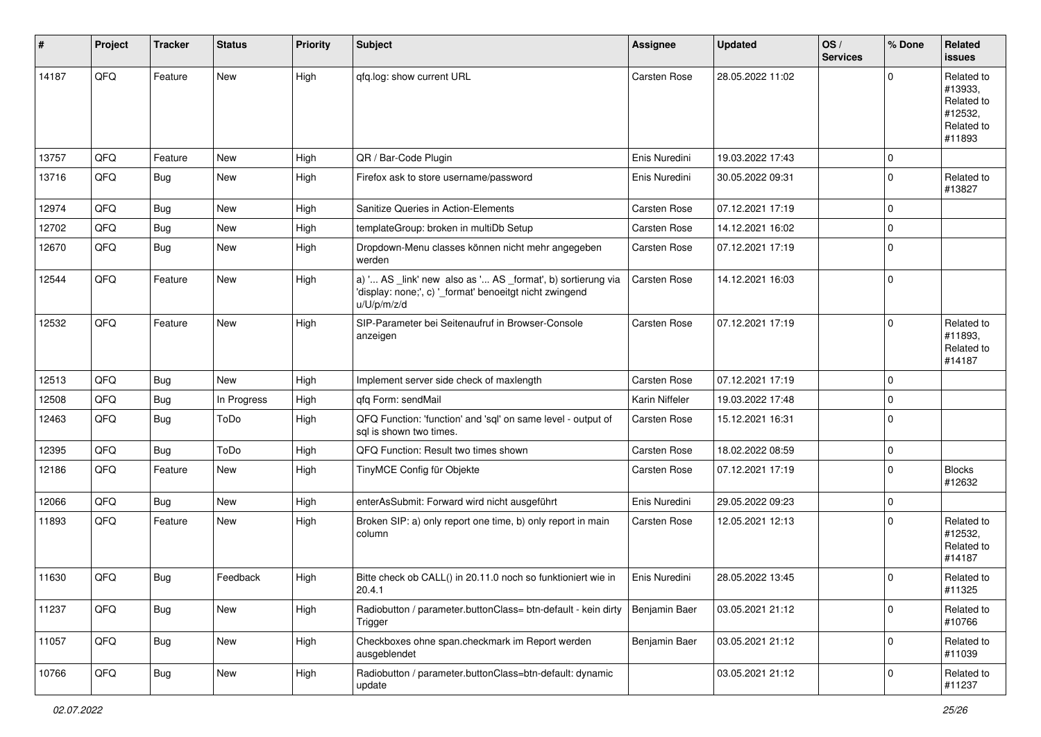| #     | Project | <b>Tracker</b> | <b>Status</b> | <b>Priority</b> | Subject                                                                                                                               | <b>Assignee</b>     | <b>Updated</b>   | OS/<br><b>Services</b> | % Done      | Related<br><b>issues</b>                                               |
|-------|---------|----------------|---------------|-----------------|---------------------------------------------------------------------------------------------------------------------------------------|---------------------|------------------|------------------------|-------------|------------------------------------------------------------------------|
| 14187 | QFQ     | Feature        | <b>New</b>    | High            | qfq.log: show current URL                                                                                                             | Carsten Rose        | 28.05.2022 11:02 |                        | $\Omega$    | Related to<br>#13933,<br>Related to<br>#12532,<br>Related to<br>#11893 |
| 13757 | QFQ     | Feature        | New           | High            | QR / Bar-Code Plugin                                                                                                                  | Enis Nuredini       | 19.03.2022 17:43 |                        | $\mathbf 0$ |                                                                        |
| 13716 | QFQ     | Bug            | New           | High            | Firefox ask to store username/password                                                                                                | Enis Nuredini       | 30.05.2022 09:31 |                        | $\Omega$    | Related to<br>#13827                                                   |
| 12974 | QFQ     | Bug            | New           | High            | Sanitize Queries in Action-Elements                                                                                                   | <b>Carsten Rose</b> | 07.12.2021 17:19 |                        | $\mathbf 0$ |                                                                        |
| 12702 | QFQ     | Bug            | New           | High            | templateGroup: broken in multiDb Setup                                                                                                | <b>Carsten Rose</b> | 14.12.2021 16:02 |                        | $\Omega$    |                                                                        |
| 12670 | QFQ     | Bug            | New           | High            | Dropdown-Menu classes können nicht mehr angegeben<br>werden                                                                           | <b>Carsten Rose</b> | 07.12.2021 17:19 |                        | $\Omega$    |                                                                        |
| 12544 | QFQ     | Feature        | New           | High            | a) ' AS _link' new also as ' AS _format', b) sortierung via<br>'display: none;', c) '_format' benoeitgt nicht zwingend<br>u/U/p/m/z/d | Carsten Rose        | 14.12.2021 16:03 |                        | l O         |                                                                        |
| 12532 | QFQ     | Feature        | New           | High            | SIP-Parameter bei Seitenaufruf in Browser-Console<br>anzeigen                                                                         | <b>Carsten Rose</b> | 07.12.2021 17:19 |                        | $\Omega$    | Related to<br>#11893,<br>Related to<br>#14187                          |
| 12513 | QFQ     | Bug            | <b>New</b>    | High            | Implement server side check of maxlength                                                                                              | <b>Carsten Rose</b> | 07.12.2021 17:19 |                        | $\Omega$    |                                                                        |
| 12508 | QFQ     | Bug            | In Progress   | High            | qfq Form: sendMail                                                                                                                    | Karin Niffeler      | 19.03.2022 17:48 |                        | $\mathbf 0$ |                                                                        |
| 12463 | QFQ     | Bug            | ToDo          | High            | QFQ Function: 'function' and 'sql' on same level - output of<br>sql is shown two times.                                               | <b>Carsten Rose</b> | 15.12.2021 16:31 |                        | l O         |                                                                        |
| 12395 | QFQ     | Bug            | ToDo          | High            | QFQ Function: Result two times shown                                                                                                  | <b>Carsten Rose</b> | 18.02.2022 08:59 |                        | $\mathbf 0$ |                                                                        |
| 12186 | QFQ     | Feature        | New           | High            | TinyMCE Config für Objekte                                                                                                            | <b>Carsten Rose</b> | 07.12.2021 17:19 |                        | $\Omega$    | <b>Blocks</b><br>#12632                                                |
| 12066 | QFQ     | Bug            | New           | High            | enterAsSubmit: Forward wird nicht ausgeführt                                                                                          | Enis Nuredini       | 29.05.2022 09:23 |                        | $\mathbf 0$ |                                                                        |
| 11893 | QFQ     | Feature        | New           | High            | Broken SIP: a) only report one time, b) only report in main<br>column                                                                 | <b>Carsten Rose</b> | 12.05.2021 12:13 |                        | $\Omega$    | Related to<br>#12532,<br>Related to<br>#14187                          |
| 11630 | QFQ     | Bug            | Feedback      | High            | Bitte check ob CALL() in 20.11.0 noch so funktioniert wie in<br>20.4.1                                                                | Enis Nuredini       | 28.05.2022 13:45 |                        | $\Omega$    | Related to<br>#11325                                                   |
| 11237 | QFQ     | <b>Bug</b>     | New           | High            | Radiobutton / parameter.buttonClass= btn-default - kein dirty<br>Trigger                                                              | Benjamin Baer       | 03.05.2021 21:12 |                        | $\mathbf 0$ | Related to<br>#10766                                                   |
| 11057 | QFQ     | <b>Bug</b>     | New           | High            | Checkboxes ohne span.checkmark im Report werden<br>ausgeblendet                                                                       | Benjamin Baer       | 03.05.2021 21:12 |                        | l O         | Related to<br>#11039                                                   |
| 10766 | QFQ     | Bug            | New           | High            | Radiobutton / parameter.buttonClass=btn-default: dynamic<br>update                                                                    |                     | 03.05.2021 21:12 |                        | $\mathbf 0$ | Related to<br>#11237                                                   |